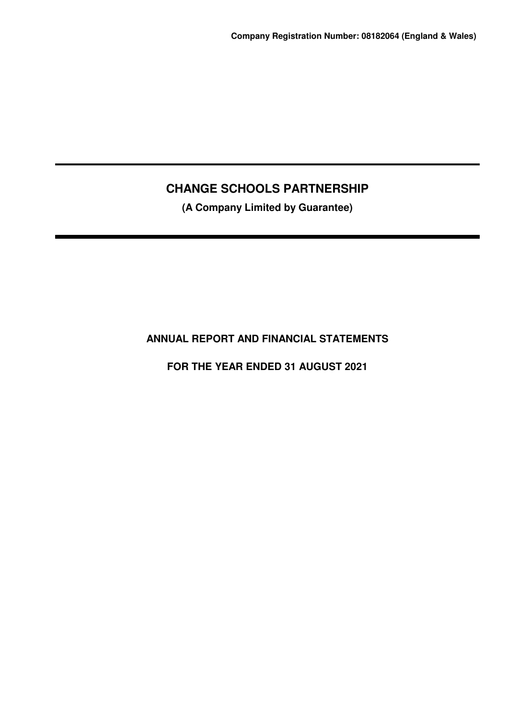**(A Company Limited by Guarantee)**

**ANNUAL REPORT AND FINANCIAL STATEMENTS**

**FOR THE YEAR ENDED 31 AUGUST 2021**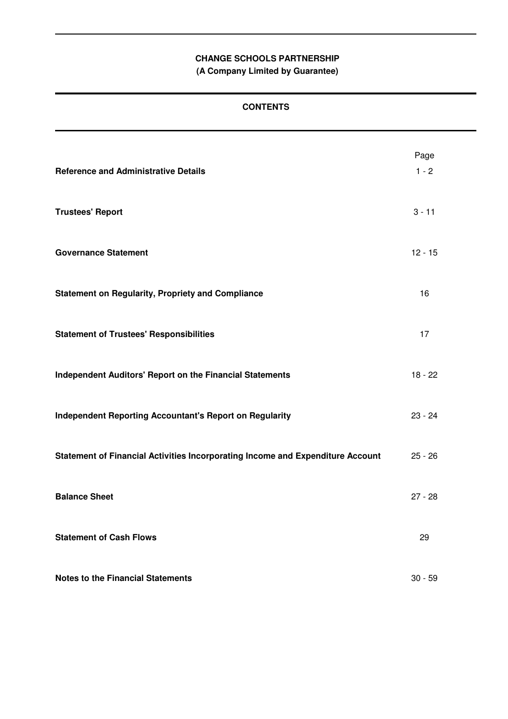**(A Company Limited by Guarantee)**

# **CONTENTS**

| <b>Reference and Administrative Details</b>                                    | Page<br>$1 - 2$ |
|--------------------------------------------------------------------------------|-----------------|
| <b>Trustees' Report</b>                                                        | $3 - 11$        |
| <b>Governance Statement</b>                                                    | $12 - 15$       |
| <b>Statement on Regularity, Propriety and Compliance</b>                       | 16              |
| <b>Statement of Trustees' Responsibilities</b>                                 | 17              |
| <b>Independent Auditors' Report on the Financial Statements</b>                | $18 - 22$       |
| <b>Independent Reporting Accountant's Report on Regularity</b>                 | $23 - 24$       |
| Statement of Financial Activities Incorporating Income and Expenditure Account | $25 - 26$       |
| <b>Balance Sheet</b>                                                           | $27 - 28$       |
| <b>Statement of Cash Flows</b>                                                 | 29              |
| <b>Notes to the Financial Statements</b>                                       | $30 - 59$       |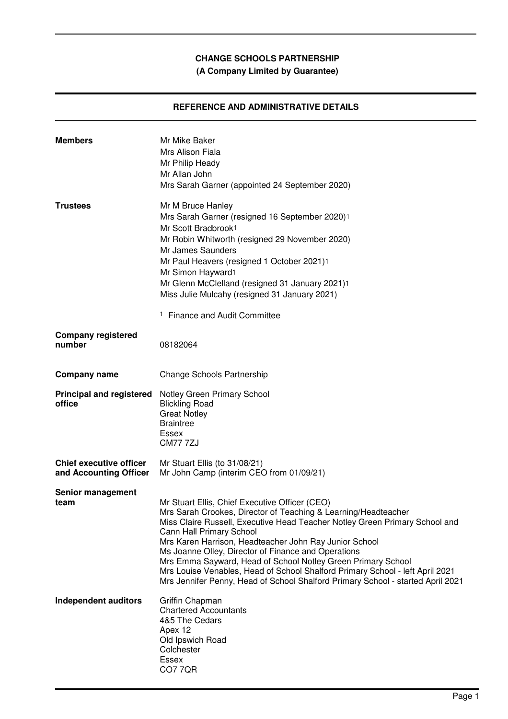# **(A Company Limited by Guarantee)**

# **REFERENCE AND ADMINISTRATIVE DETAILS**

| <b>Members</b>                                           | Mr Mike Baker<br>Mrs Alison Fiala<br>Mr Philip Heady<br>Mr Allan John<br>Mrs Sarah Garner (appointed 24 September 2020)                                                                                                                                                                                                                                                                                                                                                                                                                                                          |
|----------------------------------------------------------|----------------------------------------------------------------------------------------------------------------------------------------------------------------------------------------------------------------------------------------------------------------------------------------------------------------------------------------------------------------------------------------------------------------------------------------------------------------------------------------------------------------------------------------------------------------------------------|
| <b>Trustees</b>                                          | Mr M Bruce Hanley<br>Mrs Sarah Garner (resigned 16 September 2020)1<br>Mr Scott Bradbrook1<br>Mr Robin Whitworth (resigned 29 November 2020)<br>Mr James Saunders<br>Mr Paul Heavers (resigned 1 October 2021)1<br>Mr Simon Hayward <sup>1</sup><br>Mr Glenn McClelland (resigned 31 January 2021)1<br>Miss Julie Mulcahy (resigned 31 January 2021)<br><sup>1</sup> Finance and Audit Committee                                                                                                                                                                                 |
| <b>Company registered</b><br>number                      | 08182064                                                                                                                                                                                                                                                                                                                                                                                                                                                                                                                                                                         |
| <b>Company name</b>                                      | Change Schools Partnership                                                                                                                                                                                                                                                                                                                                                                                                                                                                                                                                                       |
| <b>Principal and registered</b><br>office                | Notley Green Primary School<br><b>Blickling Road</b><br><b>Great Notley</b><br><b>Braintree</b><br>Essex<br><b>CM77 7ZJ</b>                                                                                                                                                                                                                                                                                                                                                                                                                                                      |
| <b>Chief executive officer</b><br>and Accounting Officer | Mr Stuart Ellis (to 31/08/21)<br>Mr John Camp (interim CEO from 01/09/21)                                                                                                                                                                                                                                                                                                                                                                                                                                                                                                        |
| Senior management<br>team                                | Mr Stuart Ellis, Chief Executive Officer (CEO)<br>Mrs Sarah Crookes, Director of Teaching & Learning/Headteacher<br>Miss Claire Russell, Executive Head Teacher Notley Green Primary School and<br>Cann Hall Primary School<br>Mrs Karen Harrison, Headteacher John Ray Junior School<br>Ms Joanne Olley, Director of Finance and Operations<br>Mrs Emma Sayward, Head of School Notley Green Primary School<br>Mrs Louise Venables, Head of School Shalford Primary School - left April 2021<br>Mrs Jennifer Penny, Head of School Shalford Primary School - started April 2021 |
| <b>Independent auditors</b>                              | Griffin Chapman<br><b>Chartered Accountants</b><br>4&5 The Cedars<br>Apex 12<br>Old Ipswich Road<br>Colchester<br><b>Essex</b><br>CO7 7QR                                                                                                                                                                                                                                                                                                                                                                                                                                        |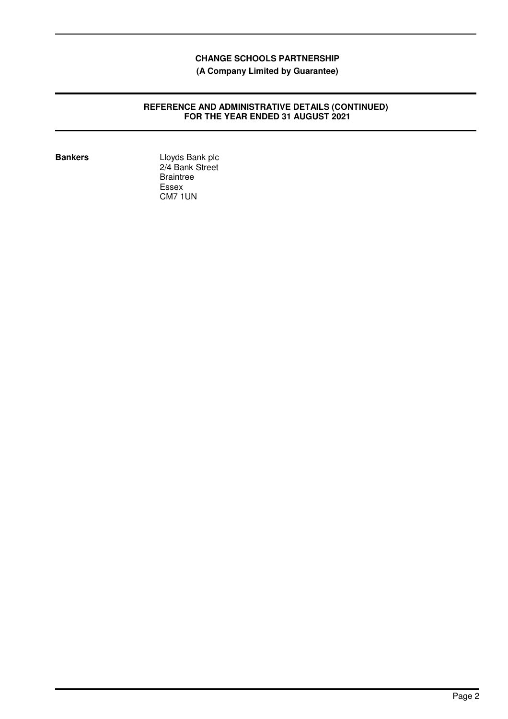**(A Company Limited by Guarantee)**

## **REFERENCE AND ADMINISTRATIVE DETAILS (CONTINUED) FOR THE YEAR ENDED 31 AUGUST 2021**

**Bankers** Lloyds Bank plc 2/4 Bank Street **Braintree** Essex CM7 1UN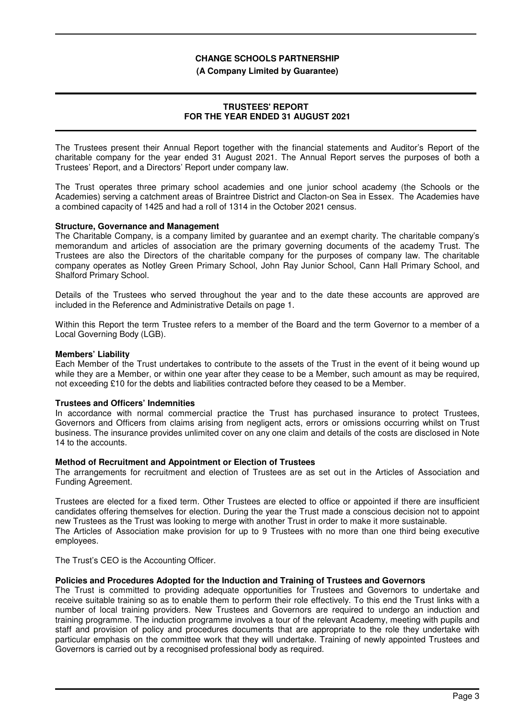#### **(A Company Limited by Guarantee)**

## **TRUSTEES' REPORT FOR THE YEAR ENDED 31 AUGUST 2021**

The Trustees present their Annual Report together with the financial statements and Auditor's Report of the charitable company for the year ended 31 August 2021. The Annual Report serves the purposes of both a Trustees' Report, and a Directors' Report under company law.

The Trust operates three primary school academies and one junior school academy (the Schools or the Academies) serving a catchment areas of Braintree District and Clacton-on Sea in Essex. The Academies have a combined capacity of 1425 and had a roll of 1314 in the October 2021 census.

#### **Structure, Governance and Management**

The Charitable Company, is a company limited by guarantee and an exempt charity. The charitable company's memorandum and articles of association are the primary governing documents of the academy Trust. The Trustees are also the Directors of the charitable company for the purposes of company law. The charitable company operates as Notley Green Primary School, John Ray Junior School, Cann Hall Primary School, and Shalford Primary School.

Details of the Trustees who served throughout the year and to the date these accounts are approved are included in the Reference and Administrative Details on page 1.

Within this Report the term Trustee refers to a member of the Board and the term Governor to a member of a Local Governing Body (LGB).

#### **Members' Liability**

Each Member of the Trust undertakes to contribute to the assets of the Trust in the event of it being wound up while they are a Member, or within one year after they cease to be a Member, such amount as may be required, not exceeding £10 for the debts and liabilities contracted before they ceased to be a Member.

## **Trustees and Officers' Indemnities**

In accordance with normal commercial practice the Trust has purchased insurance to protect Trustees, Governors and Officers from claims arising from negligent acts, errors or omissions occurring whilst on Trust business. The insurance provides unlimited cover on any one claim and details of the costs are disclosed in Note 14 to the accounts.

#### **Method of Recruitment and Appointment or Election of Trustees**

The arrangements for recruitment and election of Trustees are as set out in the Articles of Association and Funding Agreement.

Trustees are elected for a fixed term. Other Trustees are elected to office or appointed if there are insufficient candidates offering themselves for election. During the year the Trust made a conscious decision not to appoint new Trustees as the Trust was looking to merge with another Trust in order to make it more sustainable. The Articles of Association make provision for up to 9 Trustees with no more than one third being executive employees.

The Trust's CEO is the Accounting Officer.

#### **Policies and Procedures Adopted for the Induction and Training of Trustees and Governors**

The Trust is committed to providing adequate opportunities for Trustees and Governors to undertake and receive suitable training so as to enable them to perform their role effectively. To this end the Trust links with a number of local training providers. New Trustees and Governors are required to undergo an induction and training programme. The induction programme involves a tour of the relevant Academy, meeting with pupils and staff and provision of policy and procedures documents that are appropriate to the role they undertake with particular emphasis on the committee work that they will undertake. Training of newly appointed Trustees and Governors is carried out by a recognised professional body as required.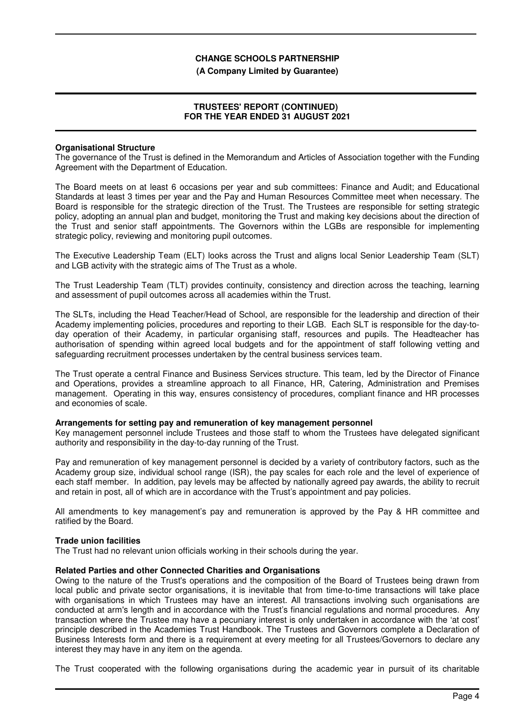#### **(A Company Limited by Guarantee)**

## **TRUSTEES' REPORT (CONTINUED) FOR THE YEAR ENDED 31 AUGUST 2021**

#### **Organisational Structure**

The governance of the Trust is defined in the Memorandum and Articles of Association together with the Funding Agreement with the Department of Education.

The Board meets on at least 6 occasions per year and sub committees: Finance and Audit; and Educational Standards at least 3 times per year and the Pay and Human Resources Committee meet when necessary. The Board is responsible for the strategic direction of the Trust. The Trustees are responsible for setting strategic policy, adopting an annual plan and budget, monitoring the Trust and making key decisions about the direction of the Trust and senior staff appointments. The Governors within the LGBs are responsible for implementing strategic policy, reviewing and monitoring pupil outcomes.

The Executive Leadership Team (ELT) looks across the Trust and aligns local Senior Leadership Team (SLT) and LGB activity with the strategic aims of The Trust as a whole.

The Trust Leadership Team (TLT) provides continuity, consistency and direction across the teaching, learning and assessment of pupil outcomes across all academies within the Trust.

The SLTs, including the Head Teacher/Head of School, are responsible for the leadership and direction of their Academy implementing policies, procedures and reporting to their LGB. Each SLT is responsible for the day-today operation of their Academy, in particular organising staff, resources and pupils. The Headteacher has authorisation of spending within agreed local budgets and for the appointment of staff following vetting and safeguarding recruitment processes undertaken by the central business services team.

The Trust operate a central Finance and Business Services structure. This team, led by the Director of Finance and Operations, provides a streamline approach to all Finance, HR, Catering, Administration and Premises management. Operating in this way, ensures consistency of procedures, compliant finance and HR processes and economies of scale.

#### **Arrangements for setting pay and remuneration of key management personnel**

Key management personnel include Trustees and those staff to whom the Trustees have delegated significant authority and responsibility in the day-to-day running of the Trust.

Pay and remuneration of key management personnel is decided by a variety of contributory factors, such as the Academy group size, individual school range (ISR), the pay scales for each role and the level of experience of each staff member. In addition, pay levels may be affected by nationally agreed pay awards, the ability to recruit and retain in post, all of which are in accordance with the Trust's appointment and pay policies.

All amendments to key management's pay and remuneration is approved by the Pay & HR committee and ratified by the Board.

#### **Trade union facilities**

The Trust had no relevant union officials working in their schools during the year.

#### **Related Parties and other Connected Charities and Organisations**

Owing to the nature of the Trust's operations and the composition of the Board of Trustees being drawn from local public and private sector organisations, it is inevitable that from time-to-time transactions will take place with organisations in which Trustees may have an interest. All transactions involving such organisations are conducted at arm's length and in accordance with the Trust's financial regulations and normal procedures. Any transaction where the Trustee may have a pecuniary interest is only undertaken in accordance with the 'at cost' principle described in the Academies Trust Handbook. The Trustees and Governors complete a Declaration of Business Interests form and there is a requirement at every meeting for all Trustees/Governors to declare any interest they may have in any item on the agenda.

The Trust cooperated with the following organisations during the academic year in pursuit of its charitable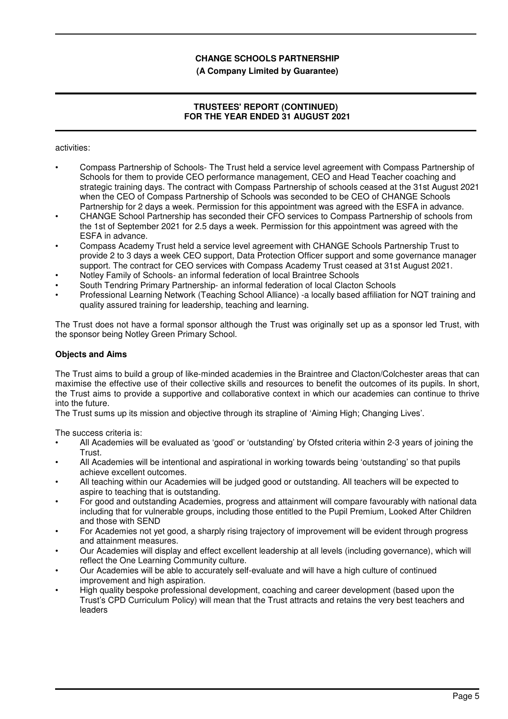## **(A Company Limited by Guarantee)**

# **TRUSTEES' REPORT (CONTINUED) FOR THE YEAR ENDED 31 AUGUST 2021**

activities:

- Compass Partnership of Schools- The Trust held a service level agreement with Compass Partnership of Schools for them to provide CEO performance management, CEO and Head Teacher coaching and strategic training days. The contract with Compass Partnership of schools ceased at the 31st August 2021 when the CEO of Compass Partnership of Schools was seconded to be CEO of CHANGE Schools Partnership for 2 days a week. Permission for this appointment was agreed with the ESFA in advance.
- CHANGE School Partnership has seconded their CFO services to Compass Partnership of schools from the 1st of September 2021 for 2.5 days a week. Permission for this appointment was agreed with the ESFA in advance.
- Compass Academy Trust held a service level agreement with CHANGE Schools Partnership Trust to provide 2 to 3 days a week CEO support, Data Protection Officer support and some governance manager support. The contract for CEO services with Compass Academy Trust ceased at 31st August 2021.
- Notley Family of Schools- an informal federation of local Braintree Schools
- South Tendring Primary Partnership- an informal federation of local Clacton Schools
- Professional Learning Network (Teaching School Alliance) -a locally based affiliation for NQT training and quality assured training for leadership, teaching and learning.

The Trust does not have a formal sponsor although the Trust was originally set up as a sponsor led Trust, with the sponsor being Notley Green Primary School.

## **Objects and Aims**

The Trust aims to build a group of like-minded academies in the Braintree and Clacton/Colchester areas that can maximise the effective use of their collective skills and resources to benefit the outcomes of its pupils. In short, the Trust aims to provide a supportive and collaborative context in which our academies can continue to thrive into the future.

The Trust sums up its mission and objective through its strapline of 'Aiming High; Changing Lives'.

The success criteria is:

- All Academies will be evaluated as 'good' or 'outstanding' by Ofsted criteria within 2-3 years of joining the Trust.
- All Academies will be intentional and aspirational in working towards being 'outstanding' so that pupils achieve excellent outcomes.
- All teaching within our Academies will be judged good or outstanding. All teachers will be expected to aspire to teaching that is outstanding.
- For good and outstanding Academies, progress and attainment will compare favourably with national data including that for vulnerable groups, including those entitled to the Pupil Premium, Looked After Children and those with SEND
- For Academies not yet good, a sharply rising trajectory of improvement will be evident through progress and attainment measures.
- Our Academies will display and effect excellent leadership at all levels (including governance), which will reflect the One Learning Community culture.
- Our Academies will be able to accurately self-evaluate and will have a high culture of continued improvement and high aspiration.
- High quality bespoke professional development, coaching and career development (based upon the Trust's CPD Curriculum Policy) will mean that the Trust attracts and retains the very best teachers and leaders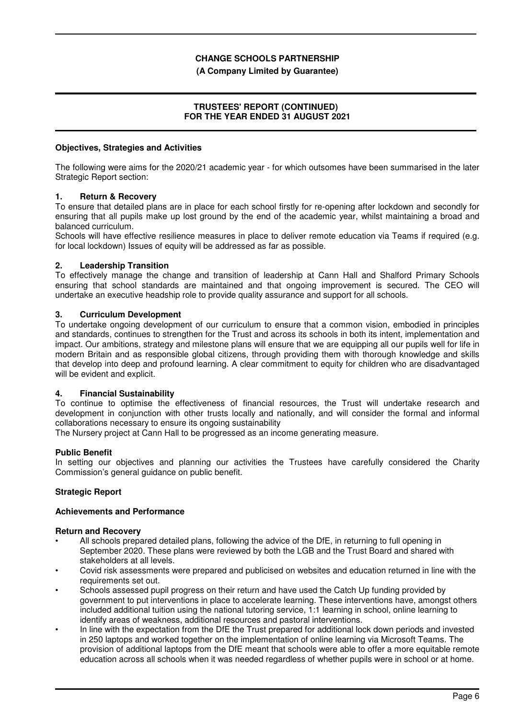## **(A Company Limited by Guarantee)**

## **TRUSTEES' REPORT (CONTINUED) FOR THE YEAR ENDED 31 AUGUST 2021**

## **Objectives, Strategies and Activities**

The following were aims for the 2020/21 academic year - for which outsomes have been summarised in the later Strategic Report section:

## **1. Return & Recovery**

To ensure that detailed plans are in place for each school firstly for re-opening after lockdown and secondly for ensuring that all pupils make up lost ground by the end of the academic year, whilst maintaining a broad and balanced curriculum.

Schools will have effective resilience measures in place to deliver remote education via Teams if required (e.g. for local lockdown) Issues of equity will be addressed as far as possible.

#### **2. Leadership Transition**

To effectively manage the change and transition of leadership at Cann Hall and Shalford Primary Schools ensuring that school standards are maintained and that ongoing improvement is secured. The CEO will undertake an executive headship role to provide quality assurance and support for all schools.

#### **3. Curriculum Development**

To undertake ongoing development of our curriculum to ensure that a common vision, embodied in principles and standards, continues to strengthen for the Trust and across its schools in both its intent, implementation and impact. Our ambitions, strategy and milestone plans will ensure that we are equipping all our pupils well for life in modern Britain and as responsible global citizens, through providing them with thorough knowledge and skills that develop into deep and profound learning. A clear commitment to equity for children who are disadvantaged will be evident and explicit.

#### **4. Financial Sustainability**

To continue to optimise the effectiveness of financial resources, the Trust will undertake research and development in conjunction with other trusts locally and nationally, and will consider the formal and informal collaborations necessary to ensure its ongoing sustainability

The Nursery project at Cann Hall to be progressed as an income generating measure.

#### **Public Benefit**

In setting our objectives and planning our activities the Trustees have carefully considered the Charity Commission's general guidance on public benefit.

## **Strategic Report**

#### **Achievements and Performance**

#### **Return and Recovery**

- All schools prepared detailed plans, following the advice of the DfE, in returning to full opening in September 2020. These plans were reviewed by both the LGB and the Trust Board and shared with stakeholders at all levels.
- Covid risk assessments were prepared and publicised on websites and education returned in line with the requirements set out.
- Schools assessed pupil progress on their return and have used the Catch Up funding provided by government to put interventions in place to accelerate learning. These interventions have, amongst others included additional tuition using the national tutoring service, 1:1 learning in school, online learning to identify areas of weakness, additional resources and pastoral interventions.
- In line with the expectation from the DfE the Trust prepared for additional lock down periods and invested in 250 laptops and worked together on the implementation of online learning via Microsoft Teams. The provision of additional laptops from the DfE meant that schools were able to offer a more equitable remote education across all schools when it was needed regardless of whether pupils were in school or at home.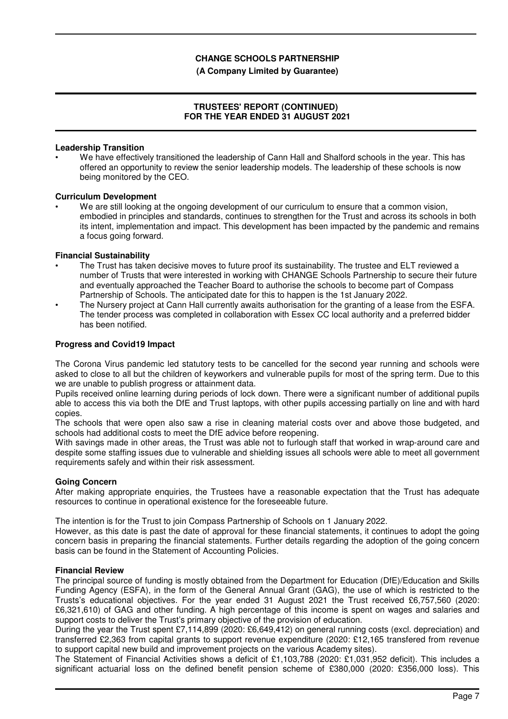## **(A Company Limited by Guarantee)**

## **TRUSTEES' REPORT (CONTINUED) FOR THE YEAR ENDED 31 AUGUST 2021**

## **Leadership Transition**

We have effectively transitioned the leadership of Cann Hall and Shalford schools in the year. This has offered an opportunity to review the senior leadership models. The leadership of these schools is now being monitored by the CEO.

#### **Curriculum Development**

We are still looking at the ongoing development of our curriculum to ensure that a common vision, embodied in principles and standards, continues to strengthen for the Trust and across its schools in both its intent, implementation and impact. This development has been impacted by the pandemic and remains a focus going forward.

#### **Financial Sustainability**

- The Trust has taken decisive moves to future proof its sustainability. The trustee and ELT reviewed a number of Trusts that were interested in working with CHANGE Schools Partnership to secure their future and eventually approached the Teacher Board to authorise the schools to become part of Compass Partnership of Schools. The anticipated date for this to happen is the 1st January 2022.
- The Nursery project at Cann Hall currently awaits authorisation for the granting of a lease from the ESFA. The tender process was completed in collaboration with Essex CC local authority and a preferred bidder has been notified.

## **Progress and Covid19 Impact**

The Corona Virus pandemic led statutory tests to be cancelled for the second year running and schools were asked to close to all but the children of keyworkers and vulnerable pupils for most of the spring term. Due to this we are unable to publish progress or attainment data.

Pupils received online learning during periods of lock down. There were a significant number of additional pupils able to access this via both the DfE and Trust laptops, with other pupils accessing partially on line and with hard copies.

The schools that were open also saw a rise in cleaning material costs over and above those budgeted, and schools had additional costs to meet the DfE advice before reopening.

With savings made in other areas, the Trust was able not to furlough staff that worked in wrap-around care and despite some staffing issues due to vulnerable and shielding issues all schools were able to meet all government requirements safely and within their risk assessment.

#### **Going Concern**

After making appropriate enquiries, the Trustees have a reasonable expectation that the Trust has adequate resources to continue in operational existence for the foreseeable future.

The intention is for the Trust to join Compass Partnership of Schools on 1 January 2022.

However, as this date is past the date of approval for these financial statements, it continues to adopt the going concern basis in preparing the financial statements. Further details regarding the adoption of the going concern basis can be found in the Statement of Accounting Policies.

#### **Financial Review**

The principal source of funding is mostly obtained from the Department for Education (DfE)/Education and Skills Funding Agency (ESFA), in the form of the General Annual Grant (GAG), the use of which is restricted to the Trusts's educational objectives. For the year ended 31 August 2021 the Trust received £6,757,560 (2020: £6,321,610) of GAG and other funding. A high percentage of this income is spent on wages and salaries and support costs to deliver the Trust's primary objective of the provision of education.

During the year the Trust spent £7,114,899 (2020: £6,649,412) on general running costs (excl. depreciation) and transferred £2,363 from capital grants to support revenue expenditure (2020: £12,165 transfered from revenue to support capital new build and improvement projects on the various Academy sites).

The Statement of Financial Activities shows a deficit of £1,103,788 (2020: £1,031,952 deficit). This includes a significant actuarial loss on the defined benefit pension scheme of £380,000 (2020: £356,000 loss). This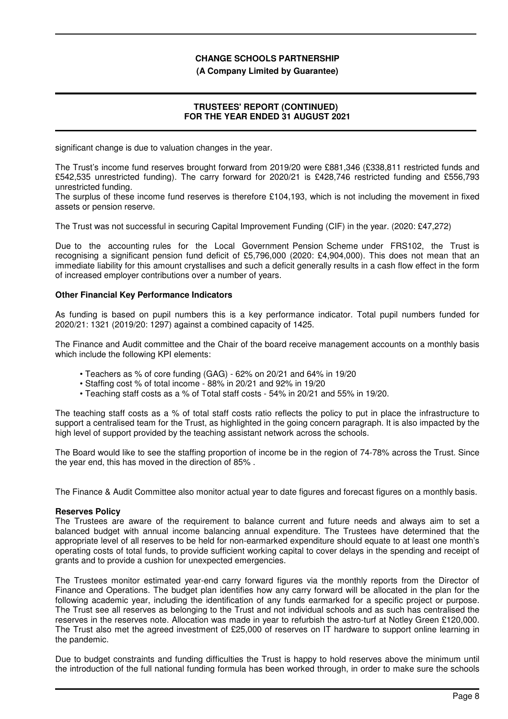#### **(A Company Limited by Guarantee)**

## **TRUSTEES' REPORT (CONTINUED) FOR THE YEAR ENDED 31 AUGUST 2021**

significant change is due to valuation changes in the year.

The Trust's income fund reserves brought forward from 2019/20 were £881,346 (£338,811 restricted funds and £542,535 unrestricted funding). The carry forward for 2020/21 is £428,746 restricted funding and £556,793 unrestricted funding.

The surplus of these income fund reserves is therefore £104,193, which is not including the movement in fixed assets or pension reserve.

The Trust was not successful in securing Capital Improvement Funding (CIF) in the year. (2020: £47,272)

Due to the accounting rules for the Local Government Pension Scheme under FRS102, the Trust is recognising a significant pension fund deficit of £5,796,000 (2020: £4,904,000). This does not mean that an immediate liability for this amount crystallises and such a deficit generally results in a cash flow effect in the form of increased employer contributions over a number of years.

### **Other Financial Key Performance Indicators**

As funding is based on pupil numbers this is a key performance indicator. Total pupil numbers funded for 2020/21: 1321 (2019/20: 1297) against a combined capacity of 1425.

The Finance and Audit committee and the Chair of the board receive management accounts on a monthly basis which include the following KPI elements:

- Teachers as % of core funding (GAG) 62% on 20/21 and 64% in 19/20
- Staffing cost % of total income 88% in 20/21 and 92% in 19/20
- Teaching staff costs as a % of Total staff costs 54% in 20/21 and 55% in 19/20.

The teaching staff costs as a % of total staff costs ratio reflects the policy to put in place the infrastructure to support a centralised team for the Trust, as highlighted in the going concern paragraph. It is also impacted by the high level of support provided by the teaching assistant network across the schools.

The Board would like to see the staffing proportion of income be in the region of 74-78% across the Trust. Since the year end, this has moved in the direction of 85% .

The Finance & Audit Committee also monitor actual year to date figures and forecast figures on a monthly basis.

## **Reserves Policy**

The Trustees are aware of the requirement to balance current and future needs and always aim to set a balanced budget with annual income balancing annual expenditure. The Trustees have determined that the appropriate level of all reserves to be held for non-earmarked expenditure should equate to at least one month's operating costs of total funds, to provide sufficient working capital to cover delays in the spending and receipt of grants and to provide a cushion for unexpected emergencies.

The Trustees monitor estimated year-end carry forward figures via the monthly reports from the Director of Finance and Operations. The budget plan identifies how any carry forward will be allocated in the plan for the following academic year, including the identification of any funds earmarked for a specific project or purpose. The Trust see all reserves as belonging to the Trust and not individual schools and as such has centralised the reserves in the reserves note. Allocation was made in year to refurbish the astro-turf at Notley Green £120,000. The Trust also met the agreed investment of £25,000 of reserves on IT hardware to support online learning in the pandemic.

Due to budget constraints and funding difficulties the Trust is happy to hold reserves above the minimum until the introduction of the full national funding formula has been worked through, in order to make sure the schools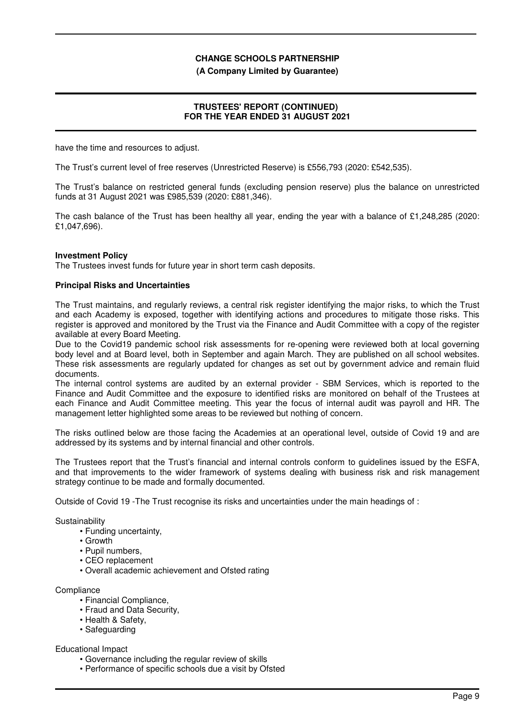#### **(A Company Limited by Guarantee)**

## **TRUSTEES' REPORT (CONTINUED) FOR THE YEAR ENDED 31 AUGUST 2021**

have the time and resources to adjust.

The Trust's current level of free reserves (Unrestricted Reserve) is £556,793 (2020: £542,535).

The Trust's balance on restricted general funds (excluding pension reserve) plus the balance on unrestricted funds at 31 August 2021 was £985,539 (2020: £881,346).

The cash balance of the Trust has been healthy all year, ending the year with a balance of £1,248,285 (2020: £1,047,696).

#### **Investment Policy**

The Trustees invest funds for future year in short term cash deposits.

## **Principal Risks and Uncertainties**

The Trust maintains, and regularly reviews, a central risk register identifying the major risks, to which the Trust and each Academy is exposed, together with identifying actions and procedures to mitigate those risks. This register is approved and monitored by the Trust via the Finance and Audit Committee with a copy of the register available at every Board Meeting.

Due to the Covid19 pandemic school risk assessments for re-opening were reviewed both at local governing body level and at Board level, both in September and again March. They are published on all school websites. These risk assessments are regularly updated for changes as set out by government advice and remain fluid documents.

The internal control systems are audited by an external provider - SBM Services, which is reported to the Finance and Audit Committee and the exposure to identified risks are monitored on behalf of the Trustees at each Finance and Audit Committee meeting. This year the focus of internal audit was payroll and HR. The management letter highlighted some areas to be reviewed but nothing of concern.

The risks outlined below are those facing the Academies at an operational level, outside of Covid 19 and are addressed by its systems and by internal financial and other controls.

The Trustees report that the Trust's financial and internal controls conform to guidelines issued by the ESFA, and that improvements to the wider framework of systems dealing with business risk and risk management strategy continue to be made and formally documented.

Outside of Covid 19 -The Trust recognise its risks and uncertainties under the main headings of :

#### **Sustainability**

- Funding uncertainty,
- Growth
- Pupil numbers,
- CEO replacement
- Overall academic achievement and Ofsted rating

#### **Compliance**

- Financial Compliance,
- Fraud and Data Security,
- Health & Safety,
- Safeguarding

#### Educational Impact

- Governance including the regular review of skills
- Performance of specific schools due a visit by Ofsted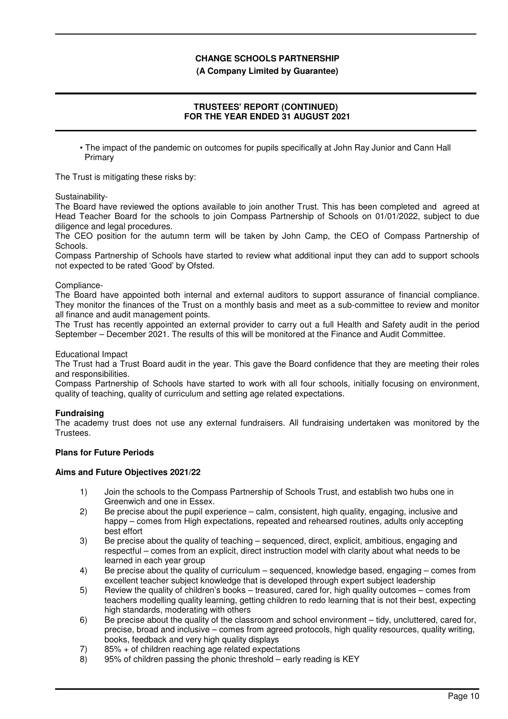## **(A Company Limited by Guarantee)**

# **TRUSTEES' REPORT (CONTINUED) FOR THE YEAR ENDED 31 AUGUST 2021**

• The impact of the pandemic on outcomes for pupils specifically at John Ray Junior and Cann Hall **Primary** 

The Trust is mitigating these risks by:

Sustainability-

The Board have reviewed the options available to join another Trust. This has been completed and agreed at Head Teacher Board for the schools to join Compass Partnership of Schools on 01/01/2022, subject to due diligence and legal procedures.

The CEO position for the autumn term will be taken by John Camp, the CEO of Compass Partnership of Schools.

Compass Partnership of Schools have started to review what additional input they can add to support schools not expected to be rated 'Good' by Ofsted.

#### Compliance-

The Board have appointed both internal and external auditors to support assurance of financial compliance. They monitor the finances of the Trust on a monthly basis and meet as a sub-committee to review and monitor all finance and audit management points.

The Trust has recently appointed an external provider to carry out a full Health and Safety audit in the period September – December 2021. The results of this will be monitored at the Finance and Audit Committee.

#### Educational Impact

The Trust had a Trust Board audit in the year. This gave the Board confidence that they are meeting their roles and responsibilities.

Compass Partnership of Schools have started to work with all four schools, initially focusing on environment, quality of teaching, quality of curriculum and setting age related expectations.

## **Fundraising**

The academy trust does not use any external fundraisers. All fundraising undertaken was monitored by the Trustees.

## **Plans for Future Periods**

#### **Aims and Future Objectives 2021/22**

- 1) Join the schools to the Compass Partnership of Schools Trust, and establish two hubs one in Greenwich and one in Essex.
- 2) Be precise about the pupil experience calm, consistent, high quality, engaging, inclusive and happy – comes from High expectations, repeated and rehearsed routines, adults only accepting best effort
- 3) Be precise about the quality of teaching sequenced, direct, explicit, ambitious, engaging and respectful – comes from an explicit, direct instruction model with clarity about what needs to be learned in each year group
- 4) Be precise about the quality of curriculum sequenced, knowledge based, engaging comes from excellent teacher subject knowledge that is developed through expert subject leadership
- 5) Review the quality of children's books treasured, cared for, high quality outcomes comes from teachers modelling quality learning, getting children to redo learning that is not their best, expecting high standards, moderating with others
- 6) Be precise about the quality of the classroom and school environment tidy, uncluttered, cared for, precise, broad and inclusive – comes from agreed protocols, high quality resources, quality writing, books, feedback and very high quality displays
- 7) 85% + of children reaching age related expectations
- 8) 95% of children passing the phonic threshold early reading is KEY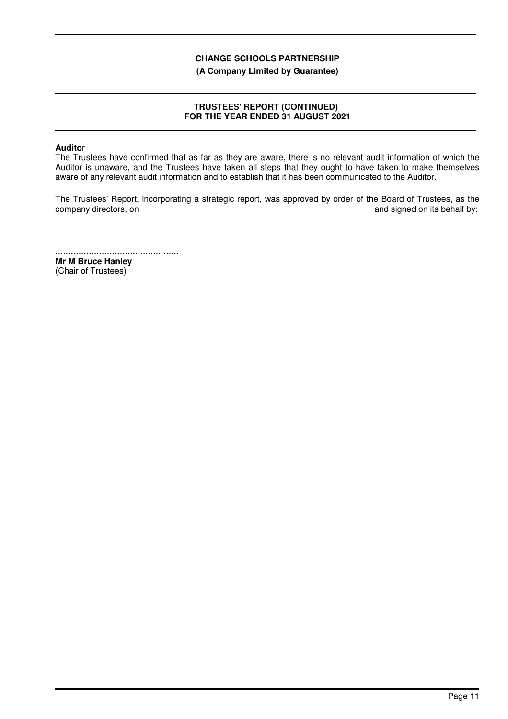**(A Company Limited by Guarantee)**

# **TRUSTEES' REPORT (CONTINUED) FOR THE YEAR ENDED 31 AUGUST 2021**

## **Audito**r

The Trustees have confirmed that as far as they are aware, there is no relevant audit information of which the Auditor is unaware, and the Trustees have taken all steps that they ought to have taken to make themselves aware of any relevant audit information and to establish that it has been communicated to the Auditor.

The Trustees' Report, incorporating a strategic report, was approved by order of the Board of Trustees, as the company directors, on  $\Box$  and signed on its behalf by:

................................................ **Mr M Bruce Hanley** (Chair of Trustees)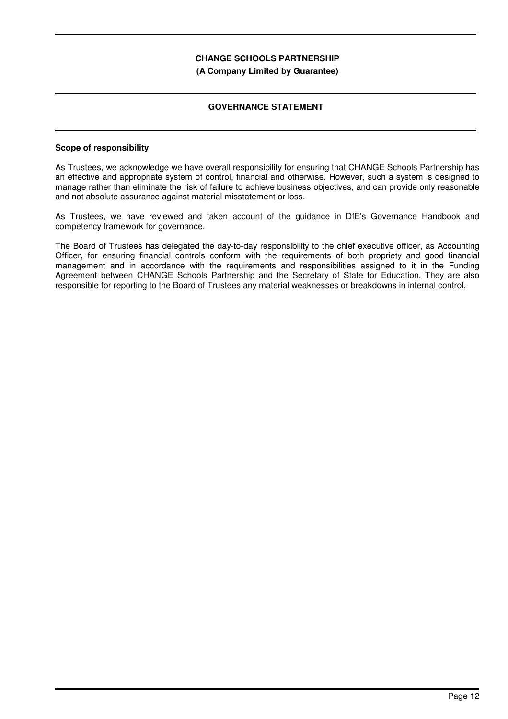**(A Company Limited by Guarantee)**

# **GOVERNANCE STATEMENT**

## **Scope of responsibility**

As Trustees, we acknowledge we have overall responsibility for ensuring that CHANGE Schools Partnership has an effective and appropriate system of control, financial and otherwise. However, such a system is designed to manage rather than eliminate the risk of failure to achieve business objectives, and can provide only reasonable and not absolute assurance against material misstatement or loss.

As Trustees, we have reviewed and taken account of the guidance in DfE's Governance Handbook and competency framework for governance.

The Board of Trustees has delegated the day-to-day responsibility to the chief executive officer, as Accounting Officer, for ensuring financial controls conform with the requirements of both propriety and good financial management and in accordance with the requirements and responsibilities assigned to it in the Funding Agreement between CHANGE Schools Partnership and the Secretary of State for Education. They are also responsible for reporting to the Board of Trustees any material weaknesses or breakdowns in internal control.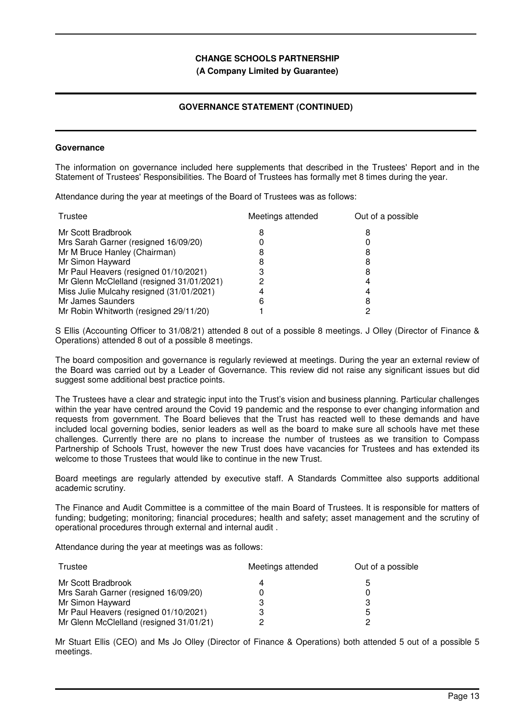#### **(A Company Limited by Guarantee)**

# **GOVERNANCE STATEMENT (CONTINUED)**

#### **Governance**

The information on governance included here supplements that described in the Trustees' Report and in the Statement of Trustees' Responsibilities. The Board of Trustees has formally met 8 times during the year.

Attendance during the year at meetings of the Board of Trustees was as follows:

| Meetings attended | Out of a possible |
|-------------------|-------------------|
|                   |                   |
|                   |                   |
|                   |                   |
|                   |                   |
| З                 | 8                 |
|                   |                   |
|                   |                   |
| 6                 | 8                 |
|                   |                   |
|                   |                   |

S Ellis (Accounting Officer to 31/08/21) attended 8 out of a possible 8 meetings. J Olley (Director of Finance & Operations) attended 8 out of a possible 8 meetings.

The board composition and governance is regularly reviewed at meetings. During the year an external review of the Board was carried out by a Leader of Governance. This review did not raise any significant issues but did suggest some additional best practice points.

The Trustees have a clear and strategic input into the Trust's vision and business planning. Particular challenges within the year have centred around the Covid 19 pandemic and the response to ever changing information and requests from government. The Board believes that the Trust has reacted well to these demands and have included local governing bodies, senior leaders as well as the board to make sure all schools have met these challenges. Currently there are no plans to increase the number of trustees as we transition to Compass Partnership of Schools Trust, however the new Trust does have vacancies for Trustees and has extended its welcome to those Trustees that would like to continue in the new Trust.

Board meetings are regularly attended by executive staff. A Standards Committee also supports additional academic scrutiny.

The Finance and Audit Committee is a committee of the main Board of Trustees. It is responsible for matters of funding; budgeting; monitoring; financial procedures; health and safety; asset management and the scrutiny of operational procedures through external and internal audit .

Attendance during the year at meetings was as follows:

| Trustee                                 | Meetings attended | Out of a possible |
|-----------------------------------------|-------------------|-------------------|
| Mr Scott Bradbrook                      |                   | h.                |
| Mrs Sarah Garner (resigned 16/09/20)    |                   |                   |
| Mr Simon Hayward                        |                   | З                 |
| Mr Paul Heavers (resigned 01/10/2021)   | 3                 | 5                 |
| Mr Glenn McClelland (resigned 31/01/21) | ົ                 |                   |

Mr Stuart Ellis (CEO) and Ms Jo Olley (Director of Finance & Operations) both attended 5 out of a possible 5 meetings.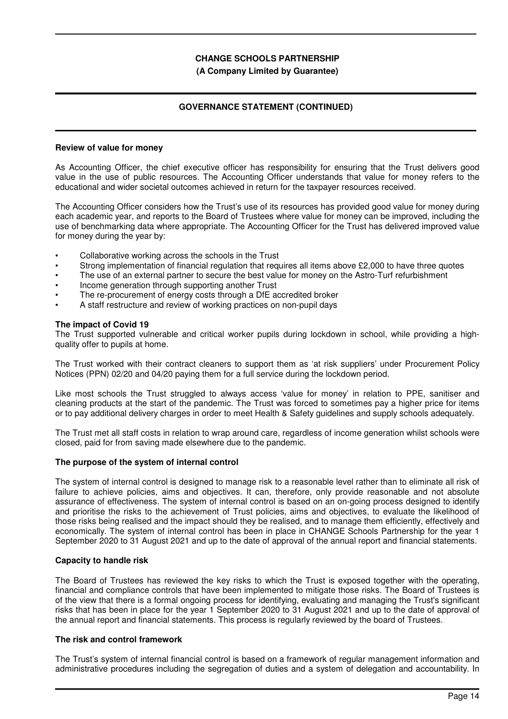## **(A Company Limited by Guarantee)**

# **GOVERNANCE STATEMENT (CONTINUED)**

#### **Review of value for money**

As Accounting Officer, the chief executive officer has responsibility for ensuring that the Trust delivers good value in the use of public resources. The Accounting Officer understands that value for money refers to the educational and wider societal outcomes achieved in return for the taxpayer resources received.

The Accounting Officer considers how the Trust's use of its resources has provided good value for money during each academic year, and reports to the Board of Trustees where value for money can be improved, including the use of benchmarking data where appropriate. The Accounting Officer for the Trust has delivered improved value for money during the year by:

- Collaborative working across the schools in the Trust
- Strong implementation of financial regulation that requires all items above £2,000 to have three quotes
- The use of an external partner to secure the best value for money on the Astro-Turf refurbishment
- Income generation through supporting another Trust
- The re-procurement of energy costs through a DfE accredited broker
- A staff restructure and review of working practices on non-pupil days

#### **The impact of Covid 19**

The Trust supported vulnerable and critical worker pupils during lockdown in school, while providing a highquality offer to pupils at home.

The Trust worked with their contract cleaners to support them as 'at risk suppliers' under Procurement Policy Notices (PPN) 02/20 and 04/20 paying them for a full service during the lockdown period.

Like most schools the Trust struggled to always access 'value for money' in relation to PPE, sanitiser and cleaning products at the start of the pandemic. The Trust was forced to sometimes pay a higher price for items or to pay additional delivery charges in order to meet Health & Safety guidelines and supply schools adequately.

The Trust met all staff costs in relation to wrap around care, regardless of income generation whilst schools were closed, paid for from saving made elsewhere due to the pandemic.

#### **The purpose of the system of internal control**

The system of internal control is designed to manage risk to a reasonable level rather than to eliminate all risk of failure to achieve policies, aims and objectives. It can, therefore, only provide reasonable and not absolute assurance of effectiveness. The system of internal control is based on an on-going process designed to identify and prioritise the risks to the achievement of Trust policies, aims and objectives, to evaluate the likelihood of those risks being realised and the impact should they be realised, and to manage them efficiently, effectively and economically. The system of internal control has been in place in CHANGE Schools Partnership for the year 1 September 2020 to 31 August 2021 and up to the date of approval of the annual report and financial statements.

#### **Capacity to handle risk**

The Board of Trustees has reviewed the key risks to which the Trust is exposed together with the operating, financial and compliance controls that have been implemented to mitigate those risks. The Board of Trustees is of the view that there is a formal ongoing process for identifying, evaluating and managing the Trust's significant risks that has been in place for the year 1 September 2020 to 31 August 2021 and up to the date of approval of the annual report and financial statements. This process is regularly reviewed by the board of Trustees.

## **The risk and control framework**

The Trust's system of internal financial control is based on a framework of regular management information and administrative procedures including the segregation of duties and a system of delegation and accountability. In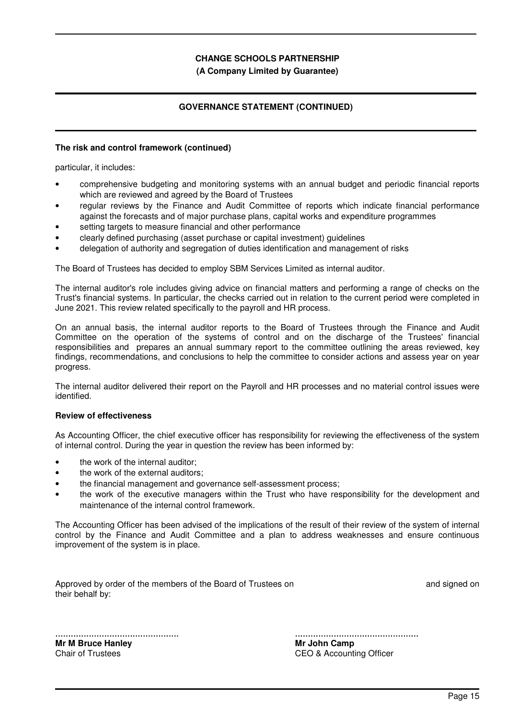## **(A Company Limited by Guarantee)**

# **GOVERNANCE STATEMENT (CONTINUED)**

#### **The risk and control framework (continued)**

particular, it includes:

- comprehensive budgeting and monitoring systems with an annual budget and periodic financial reports which are reviewed and agreed by the Board of Trustees
- regular reviews by the Finance and Audit Committee of reports which indicate financial performance against the forecasts and of major purchase plans, capital works and expenditure programmes
- setting targets to measure financial and other performance
- clearly defined purchasing (asset purchase or capital investment) guidelines
- delegation of authority and segregation of duties identification and management of risks

The Board of Trustees has decided to employ SBM Services Limited as internal auditor.

The internal auditor's role includes giving advice on financial matters and performing a range of checks on the Trust's financial systems. In particular, the checks carried out in relation to the current period were completed in June 2021. This review related specifically to the payroll and HR process.

On an annual basis, the internal auditor reports to the Board of Trustees through the Finance and Audit Committee on the operation of the systems of control and on the discharge of the Trustees' financial responsibilities and prepares an annual summary report to the committee outlining the areas reviewed, key findings, recommendations, and conclusions to help the committee to consider actions and assess year on year progress.

The internal auditor delivered their report on the Payroll and HR processes and no material control issues were identified.

#### **Review of effectiveness**

As Accounting Officer, the chief executive officer has responsibility for reviewing the effectiveness of the system of internal control. During the year in question the review has been informed by:

- the work of the internal auditor;
- the work of the external auditors;
- the financial management and governance self-assessment process;
- the work of the executive managers within the Trust who have responsibility for the development and maintenance of the internal control framework.

The Accounting Officer has been advised of the implications of the result of their review of the system of internal control by the Finance and Audit Committee and a plan to address weaknesses and ensure continuous improvement of the system is in place.

| Approved by order of the members of the Board of Trustees on |  |  |  |  |
|--------------------------------------------------------------|--|--|--|--|
| their behalf by:                                             |  |  |  |  |

and signed on

................................................ **Mr M Bruce Hanley** Chair of Trustees

................................................ **Mr John Camp** CEO & Accounting Officer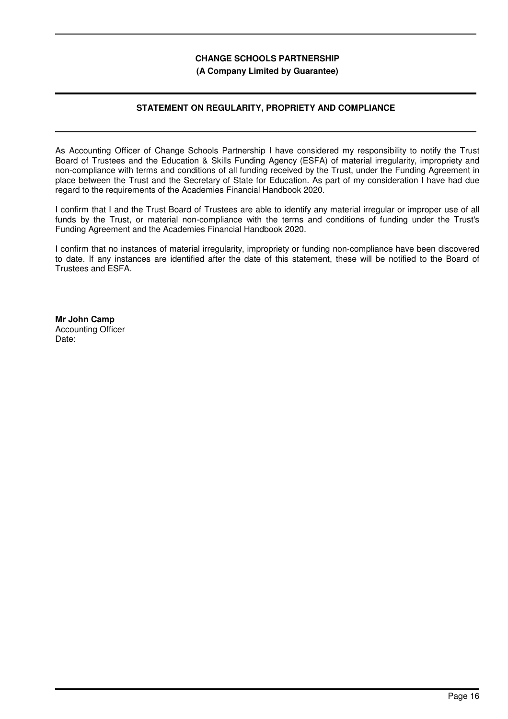## **(A Company Limited by Guarantee)**

# **STATEMENT ON REGULARITY, PROPRIETY AND COMPLIANCE**

As Accounting Officer of Change Schools Partnership I have considered my responsibility to notify the Trust Board of Trustees and the Education & Skills Funding Agency (ESFA) of material irregularity, impropriety and non-compliance with terms and conditions of all funding received by the Trust, under the Funding Agreement in place between the Trust and the Secretary of State for Education. As part of my consideration I have had due regard to the requirements of the Academies Financial Handbook 2020.

I confirm that I and the Trust Board of Trustees are able to identify any material irregular or improper use of all funds by the Trust, or material non-compliance with the terms and conditions of funding under the Trust's Funding Agreement and the Academies Financial Handbook 2020.

I confirm that no instances of material irregularity, impropriety or funding non-compliance have been discovered to date. If any instances are identified after the date of this statement, these will be notified to the Board of Trustees and ESFA.

**Mr John Camp** Accounting Officer Date: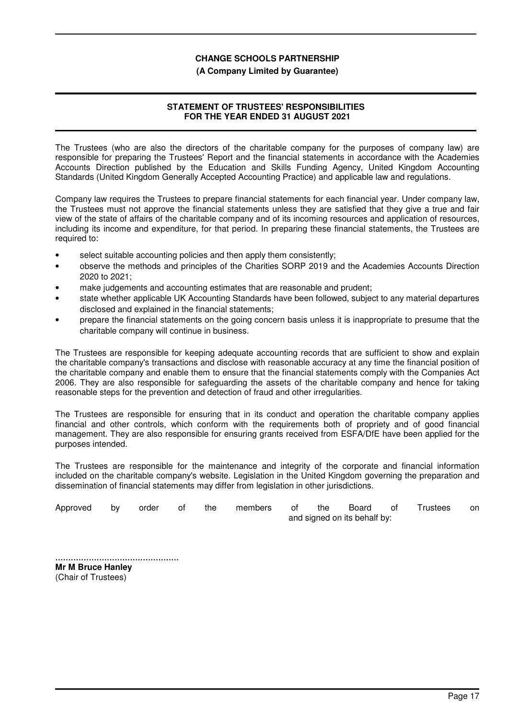#### **(A Company Limited by Guarantee)**

# **STATEMENT OF TRUSTEES' RESPONSIBILITIES FOR THE YEAR ENDED 31 AUGUST 2021**

The Trustees (who are also the directors of the charitable company for the purposes of company law) are responsible for preparing the Trustees' Report and the financial statements in accordance with the Academies Accounts Direction published by the Education and Skills Funding Agency, United Kingdom Accounting Standards (United Kingdom Generally Accepted Accounting Practice) and applicable law and regulations.

Company law requires the Trustees to prepare financial statements for each financial year. Under company law, the Trustees must not approve the financial statements unless they are satisfied that they give a true and fair view of the state of affairs of the charitable company and of its incoming resources and application of resources, including its income and expenditure, for that period. In preparing these financial statements, the Trustees are required to:

- select suitable accounting policies and then apply them consistently;
- observe the methods and principles of the Charities SORP 2019 and the Academies Accounts Direction 2020 to 2021;
- make judgements and accounting estimates that are reasonable and prudent;
- state whether applicable UK Accounting Standards have been followed, subject to any material departures disclosed and explained in the financial statements;
- prepare the financial statements on the going concern basis unless it is inappropriate to presume that the charitable company will continue in business.

The Trustees are responsible for keeping adequate accounting records that are sufficient to show and explain the charitable company's transactions and disclose with reasonable accuracy at any time the financial position of the charitable company and enable them to ensure that the financial statements comply with the Companies Act 2006. They are also responsible for safeguarding the assets of the charitable company and hence for taking reasonable steps for the prevention and detection of fraud and other irregularities.

The Trustees are responsible for ensuring that in its conduct and operation the charitable company applies financial and other controls, which conform with the requirements both of propriety and of good financial management. They are also responsible for ensuring grants received from ESFA/DfE have been applied for the purposes intended.

The Trustees are responsible for the maintenance and integrity of the corporate and financial information included on the charitable company's website. Legislation in the United Kingdom governing the preparation and dissemination of financial statements may differ from legislation in other jurisdictions.

| Approved | bv. | order | the | members of | the | Board of                     | <b>Trustees</b> | on. |
|----------|-----|-------|-----|------------|-----|------------------------------|-----------------|-----|
|          |     |       |     |            |     | and signed on its behalf by: |                 |     |

................................................ **Mr M Bruce Hanley** (Chair of Trustees)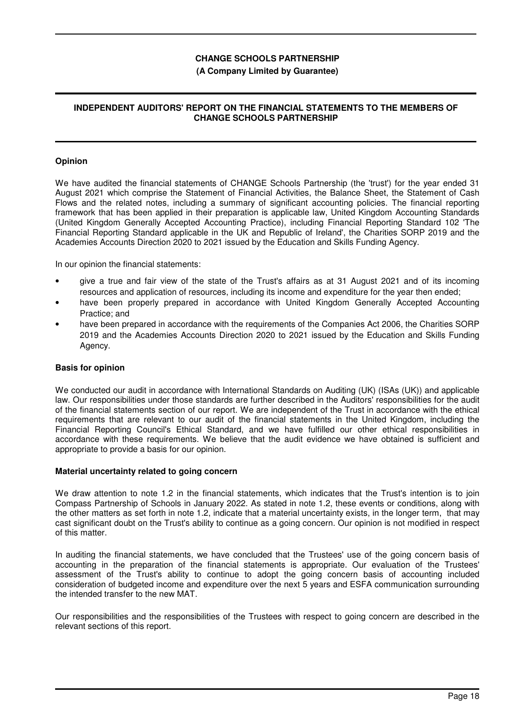#### **(A Company Limited by Guarantee)**

## **INDEPENDENT AUDITORS' REPORT ON THE FINANCIAL STATEMENTS TO THE MEMBERS OF CHANGE SCHOOLS PARTNERSHIP**

#### **Opinion**

We have audited the financial statements of CHANGE Schools Partnership (the 'trust') for the year ended 31 August 2021 which comprise the Statement of Financial Activities, the Balance Sheet, the Statement of Cash Flows and the related notes, including a summary of significant accounting policies. The financial reporting framework that has been applied in their preparation is applicable law, United Kingdom Accounting Standards (United Kingdom Generally Accepted Accounting Practice), including Financial Reporting Standard 102 'The Financial Reporting Standard applicable in the UK and Republic of Ireland', the Charities SORP 2019 and the Academies Accounts Direction 2020 to 2021 issued by the Education and Skills Funding Agency.

In our opinion the financial statements:

- give a true and fair view of the state of the Trust's affairs as at 31 August 2021 and of its incoming resources and application of resources, including its income and expenditure for the year then ended;
- have been properly prepared in accordance with United Kingdom Generally Accepted Accounting Practice; and
- have been prepared in accordance with the requirements of the Companies Act 2006, the Charities SORP 2019 and the Academies Accounts Direction 2020 to 2021 issued by the Education and Skills Funding Agency.

## **Basis for opinion**

We conducted our audit in accordance with International Standards on Auditing (UK) (ISAs (UK)) and applicable law. Our responsibilities under those standards are further described in the Auditors' responsibilities for the audit of the financial statements section of our report. We are independent of the Trust in accordance with the ethical requirements that are relevant to our audit of the financial statements in the United Kingdom, including the Financial Reporting Council's Ethical Standard, and we have fulfilled our other ethical responsibilities in accordance with these requirements. We believe that the audit evidence we have obtained is sufficient and appropriate to provide a basis for our opinion.

#### **Material uncertainty related to going concern**

We draw attention to note 1.2 in the financial statements, which indicates that the Trust's intention is to join Compass Partnership of Schools in January 2022. As stated in note 1.2, these events or conditions, along with the other matters as set forth in note 1.2, indicate that a material uncertainty exists, in the longer term, that may cast significant doubt on the Trust's ability to continue as a going concern. Our opinion is not modified in respect of this matter.

In auditing the financial statements, we have concluded that the Trustees' use of the going concern basis of accounting in the preparation of the financial statements is appropriate. Our evaluation of the Trustees' assessment of the Trust's ability to continue to adopt the going concern basis of accounting included consideration of budgeted income and expenditure over the next 5 years and ESFA communication surrounding the intended transfer to the new MAT.

Our responsibilities and the responsibilities of the Trustees with respect to going concern are described in the relevant sections of this report.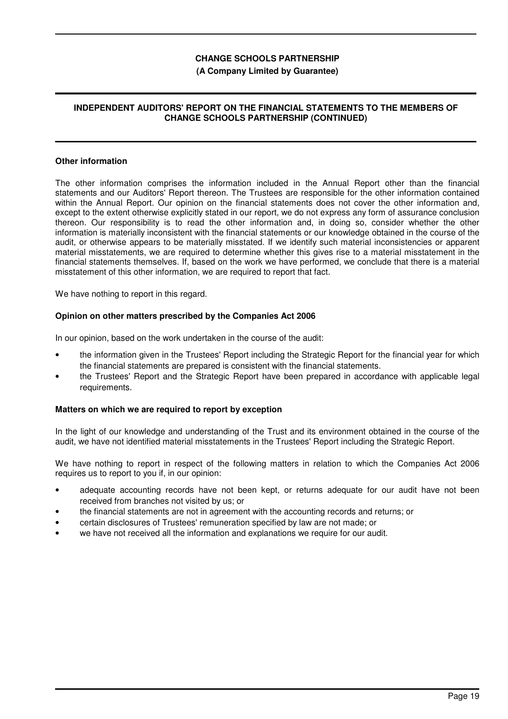### **(A Company Limited by Guarantee)**

## **INDEPENDENT AUDITORS' REPORT ON THE FINANCIAL STATEMENTS TO THE MEMBERS OF CHANGE SCHOOLS PARTNERSHIP (CONTINUED)**

#### **Other information**

The other information comprises the information included in the Annual Report other than the financial statements and our Auditors' Report thereon. The Trustees are responsible for the other information contained within the Annual Report. Our opinion on the financial statements does not cover the other information and, except to the extent otherwise explicitly stated in our report, we do not express any form of assurance conclusion thereon. Our responsibility is to read the other information and, in doing so, consider whether the other information is materially inconsistent with the financial statements or our knowledge obtained in the course of the audit, or otherwise appears to be materially misstated. If we identify such material inconsistencies or apparent material misstatements, we are required to determine whether this gives rise to a material misstatement in the financial statements themselves. If, based on the work we have performed, we conclude that there is a material misstatement of this other information, we are required to report that fact.

We have nothing to report in this regard.

#### **Opinion on other matters prescribed by the Companies Act 2006**

In our opinion, based on the work undertaken in the course of the audit:

- the information given in the Trustees' Report including the Strategic Report for the financial year for which the financial statements are prepared is consistent with the financial statements.
- the Trustees' Report and the Strategic Report have been prepared in accordance with applicable legal requirements.

## **Matters on which we are required to report by exception**

In the light of our knowledge and understanding of the Trust and its environment obtained in the course of the audit, we have not identified material misstatements in the Trustees' Report including the Strategic Report.

We have nothing to report in respect of the following matters in relation to which the Companies Act 2006 requires us to report to you if, in our opinion:

- adequate accounting records have not been kept, or returns adequate for our audit have not been received from branches not visited by us; or
- the financial statements are not in agreement with the accounting records and returns; or
- certain disclosures of Trustees' remuneration specified by law are not made; or
- we have not received all the information and explanations we require for our audit.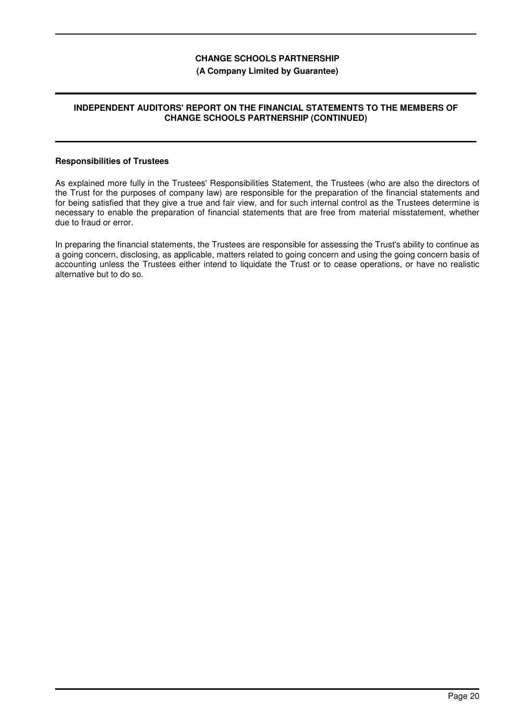## **(A Company Limited by Guarantee)**

## **INDEPENDENT AUDITORS' REPORT ON THE FINANCIAL STATEMENTS TO THE MEMBERS OF CHANGE SCHOOLS PARTNERSHIP (CONTINUED)**

#### **Responsibilities of Trustees**

As explained more fully in the Trustees' Responsibilities Statement, the Trustees (who are also the directors of the Trust for the purposes of company law) are responsible for the preparation of the financial statements and for being satisfied that they give a true and fair view, and for such internal control as the Trustees determine is necessary to enable the preparation of financial statements that are free from material misstatement, whether due to fraud or error.

In preparing the financial statements, the Trustees are responsible for assessing the Trust's ability to continue as a going concern, disclosing, as applicable, matters related to going concern and using the going concern basis of accounting unless the Trustees either intend to liquidate the Trust or to cease operations, or have no realistic alternative but to do so.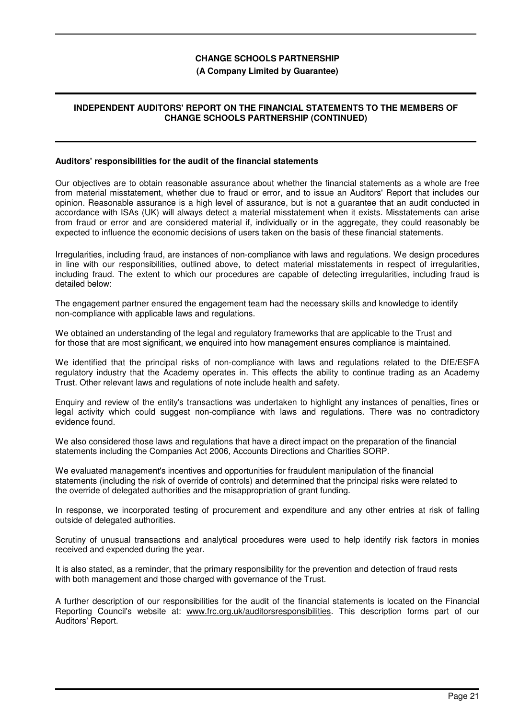#### **(A Company Limited by Guarantee)**

## **INDEPENDENT AUDITORS' REPORT ON THE FINANCIAL STATEMENTS TO THE MEMBERS OF CHANGE SCHOOLS PARTNERSHIP (CONTINUED)**

#### **Auditors' responsibilities for the audit of the financial statements**

Our objectives are to obtain reasonable assurance about whether the financial statements as a whole are free from material misstatement, whether due to fraud or error, and to issue an Auditors' Report that includes our opinion. Reasonable assurance is a high level of assurance, but is not a guarantee that an audit conducted in accordance with ISAs (UK) will always detect a material misstatement when it exists. Misstatements can arise from fraud or error and are considered material if, individually or in the aggregate, they could reasonably be expected to influence the economic decisions of users taken on the basis of these financial statements.

Irregularities, including fraud, are instances of non-compliance with laws and regulations. We design procedures in line with our responsibilities, outlined above, to detect material misstatements in respect of irregularities, including fraud. The extent to which our procedures are capable of detecting irregularities, including fraud is detailed below:

The engagement partner ensured the engagement team had the necessary skills and knowledge to identify non-compliance with applicable laws and regulations.

We obtained an understanding of the legal and regulatory frameworks that are applicable to the Trust and for those that are most significant, we enquired into how management ensures compliance is maintained.

We identified that the principal risks of non-compliance with laws and regulations related to the DfE/ESFA regulatory industry that the Academy operates in. This effects the ability to continue trading as an Academy Trust. Other relevant laws and regulations of note include health and safety.

Enquiry and review of the entity's transactions was undertaken to highlight any instances of penalties, fines or legal activity which could suggest non-compliance with laws and regulations. There was no contradictory evidence found.

We also considered those laws and regulations that have a direct impact on the preparation of the financial statements including the Companies Act 2006, Accounts Directions and Charities SORP.

We evaluated management's incentives and opportunities for fraudulent manipulation of the financial statements (including the risk of override of controls) and determined that the principal risks were related to the override of delegated authorities and the misappropriation of grant funding.

In response, we incorporated testing of procurement and expenditure and any other entries at risk of falling outside of delegated authorities.

Scrutiny of unusual transactions and analytical procedures were used to help identify risk factors in monies received and expended during the year.

It is also stated, as a reminder, that the primary responsibility for the prevention and detection of fraud rests with both management and those charged with governance of the Trust.

A further description of our responsibilities for the audit of the financial statements is located on the Financial Reporting Council's website at: www.frc.org.uk/auditorsresponsibilities. This description forms part of our Auditors' Report.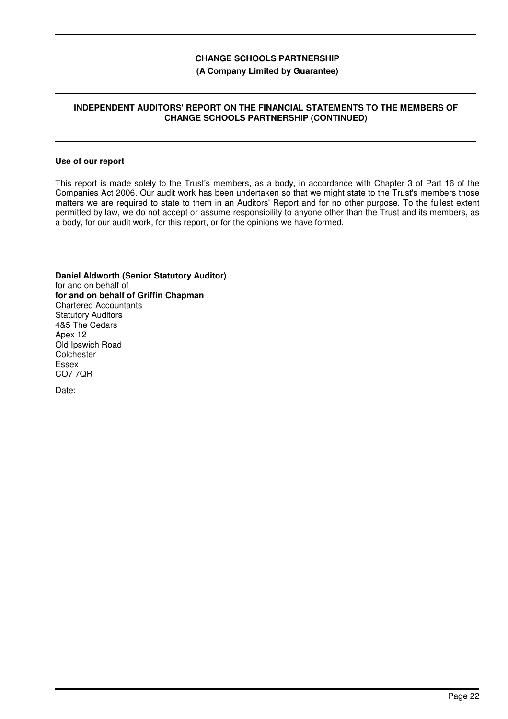# **(A Company Limited by Guarantee)**

## **INDEPENDENT AUDITORS' REPORT ON THE FINANCIAL STATEMENTS TO THE MEMBERS OF CHANGE SCHOOLS PARTNERSHIP (CONTINUED)**

#### **Use of our report**

This report is made solely to the Trust's members, as a body, in accordance with Chapter 3 of Part 16 of the Companies Act 2006. Our audit work has been undertaken so that we might state to the Trust's members those matters we are required to state to them in an Auditors' Report and for no other purpose. To the fullest extent permitted by law, we do not accept or assume responsibility to anyone other than the Trust and its members, as a body, for our audit work, for this report, or for the opinions we have formed.

**Daniel Aldworth (Senior Statutory Auditor)** for and on behalf of **for and on behalf of Griffin Chapman** Chartered Accountants Statutory Auditors 4&5 The Cedars Apex 12 Old Ipswich Road **Colchester** Essex CO7 7QR

Date: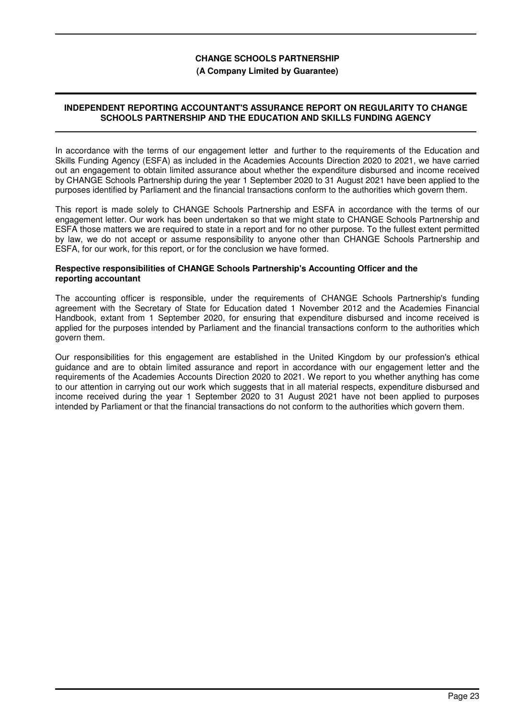#### **(A Company Limited by Guarantee)**

## **INDEPENDENT REPORTING ACCOUNTANT'S ASSURANCE REPORT ON REGULARITY TO CHANGE SCHOOLS PARTNERSHIP AND THE EDUCATION AND SKILLS FUNDING AGENCY**

In accordance with the terms of our engagement letter and further to the requirements of the Education and Skills Funding Agency (ESFA) as included in the Academies Accounts Direction 2020 to 2021, we have carried out an engagement to obtain limited assurance about whether the expenditure disbursed and income received by CHANGE Schools Partnership during the year 1 September 2020 to 31 August 2021 have been applied to the purposes identified by Parliament and the financial transactions conform to the authorities which govern them.

This report is made solely to CHANGE Schools Partnership and ESFA in accordance with the terms of our engagement letter. Our work has been undertaken so that we might state to CHANGE Schools Partnership and ESFA those matters we are required to state in a report and for no other purpose. To the fullest extent permitted by law, we do not accept or assume responsibility to anyone other than CHANGE Schools Partnership and ESFA, for our work, for this report, or for the conclusion we have formed.

## **Respective responsibilities of CHANGE Schools Partnership's Accounting Officer and the reporting accountant**

The accounting officer is responsible, under the requirements of CHANGE Schools Partnership's funding agreement with the Secretary of State for Education dated 1 November 2012 and the Academies Financial Handbook, extant from 1 September 2020, for ensuring that expenditure disbursed and income received is applied for the purposes intended by Parliament and the financial transactions conform to the authorities which govern them.

Our responsibilities for this engagement are established in the United Kingdom by our profession's ethical guidance and are to obtain limited assurance and report in accordance with our engagement letter and the requirements of the Academies Accounts Direction 2020 to 2021. We report to you whether anything has come to our attention in carrying out our work which suggests that in all material respects, expenditure disbursed and income received during the year 1 September 2020 to 31 August 2021 have not been applied to purposes intended by Parliament or that the financial transactions do not conform to the authorities which govern them.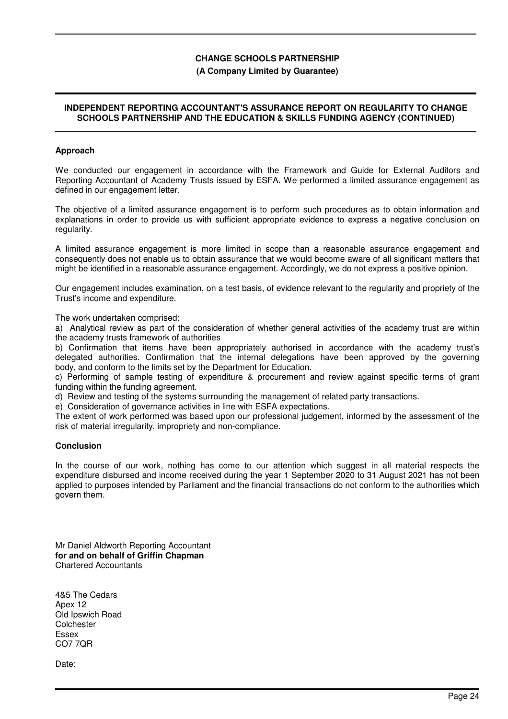### **(A Company Limited by Guarantee)**

## **INDEPENDENT REPORTING ACCOUNTANT'S ASSURANCE REPORT ON REGULARITY TO CHANGE SCHOOLS PARTNERSHIP AND THE EDUCATION & SKILLS FUNDING AGENCY (CONTINUED)**

#### **Approach**

We conducted our engagement in accordance with the Framework and Guide for External Auditors and Reporting Accountant of Academy Trusts issued by ESFA. We performed a limited assurance engagement as defined in our engagement letter.

The objective of a limited assurance engagement is to perform such procedures as to obtain information and explanations in order to provide us with sufficient appropriate evidence to express a negative conclusion on regularity.

A limited assurance engagement is more limited in scope than a reasonable assurance engagement and consequently does not enable us to obtain assurance that we would become aware of all significant matters that might be identified in a reasonable assurance engagement. Accordingly, we do not express a positive opinion.

Our engagement includes examination, on a test basis, of evidence relevant to the regularity and propriety of the Trust's income and expenditure.

The work undertaken comprised:

a) Analytical review as part of the consideration of whether general activities of the academy trust are within the academy trusts framework of authorities

b) Confirmation that items have been appropriately authorised in accordance with the academy trust's delegated authorities. Confirmation that the internal delegations have been approved by the governing body, and conform to the limits set by the Department for Education.

c) Performing of sample testing of expenditure & procurement and review against specific terms of grant funding within the funding agreement.

d) Review and testing of the systems surrounding the management of related party transactions.

e) Consideration of governance activities in line with ESFA expectations.

The extent of work performed was based upon our professional judgement, informed by the assessment of the risk of material irregularity, impropriety and non-compliance.

#### **Conclusion**

In the course of our work, nothing has come to our attention which suggest in all material respects the expenditure disbursed and income received during the year 1 September 2020 to 31 August 2021 has not been applied to purposes intended by Parliament and the financial transactions do not conform to the authorities which govern them.

Mr Daniel Aldworth Reporting Accountant **for and on behalf of Griffin Chapman** Chartered Accountants

4&5 The Cedars Apex 12 Old Ipswich Road **Colchester** Essex CO7 7QR

Date: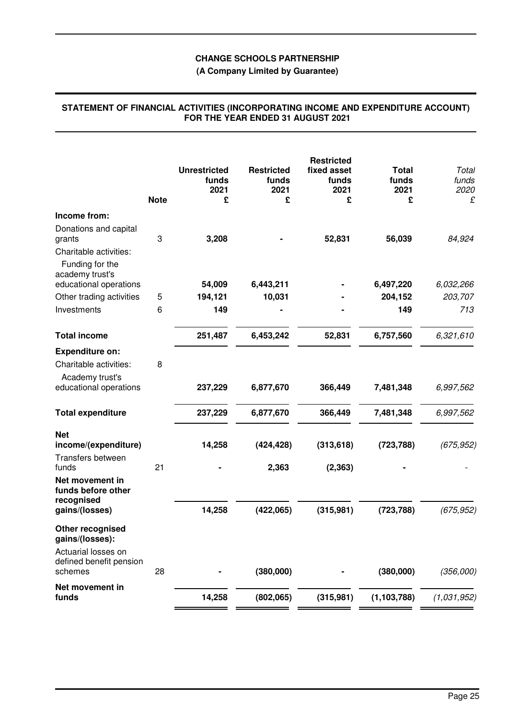# **(A Company Limited by Guarantee)**

|                                                                              | <b>Note</b> | <b>Unrestricted</b><br>funds<br>2021<br>£ | <b>Restricted</b><br>funds<br>2021<br>£ | <b>Restricted</b><br>fixed asset<br>funds<br>2021<br>£ | <b>Total</b><br>funds<br>2021<br>£ | Total<br>funds<br>2020<br>£ |
|------------------------------------------------------------------------------|-------------|-------------------------------------------|-----------------------------------------|--------------------------------------------------------|------------------------------------|-----------------------------|
| Income from:                                                                 |             |                                           |                                         |                                                        |                                    |                             |
| Donations and capital<br>grants<br>Charitable activities:<br>Funding for the | 3           | 3,208                                     |                                         | 52,831                                                 | 56,039                             | 84,924                      |
| academy trust's                                                              |             |                                           |                                         |                                                        |                                    |                             |
| educational operations                                                       |             | 54,009                                    | 6,443,211                               |                                                        | 6,497,220                          | 6,032,266                   |
| Other trading activities                                                     | 5           | 194,121                                   | 10,031                                  |                                                        | 204,152                            | 203,707                     |
| Investments                                                                  | 6           | 149                                       |                                         |                                                        | 149                                | 713                         |
| <b>Total income</b>                                                          |             | 251,487                                   | 6,453,242                               | 52,831                                                 | 6,757,560                          | 6,321,610                   |
| <b>Expenditure on:</b>                                                       |             |                                           |                                         |                                                        |                                    |                             |
| Charitable activities:<br>Academy trust's                                    | 8           |                                           |                                         |                                                        |                                    |                             |
| educational operations                                                       |             | 237,229                                   | 6,877,670                               | 366,449                                                | 7,481,348                          | 6,997,562                   |
| <b>Total expenditure</b>                                                     |             | 237,229                                   | 6,877,670                               | 366,449                                                | 7,481,348                          | 6,997,562                   |
| <b>Net</b><br>income/(expenditure)<br>Transfers between                      |             | 14,258                                    | (424, 428)                              | (313, 618)                                             | (723, 788)                         | (675, 952)                  |
| funds                                                                        | 21          |                                           | 2,363                                   | (2, 363)                                               |                                    |                             |
| Net movement in<br>funds before other<br>recognised                          |             |                                           |                                         |                                                        |                                    |                             |
| gains/(losses)                                                               |             | 14,258                                    | (422,065)                               | (315, 981)                                             | (723, 788)                         | (675, 952)                  |
| Other recognised<br>gains/(losses):                                          |             |                                           |                                         |                                                        |                                    |                             |
| Actuarial losses on<br>defined benefit pension<br>schemes                    | 28          |                                           | (380,000)                               |                                                        | (380,000)                          | (356,000)                   |
| Net movement in                                                              |             |                                           |                                         |                                                        |                                    |                             |
| funds                                                                        |             | 14,258                                    | (802,065)                               | (315,981)                                              | (1, 103, 788)                      | (1,031,952)                 |

#### **STATEMENT OF FINANCIAL ACTIVITIES (INCORPORATING INCOME AND EXPENDITURE ACCOUNT) FOR THE YEAR ENDED 31 AUGUST 2021**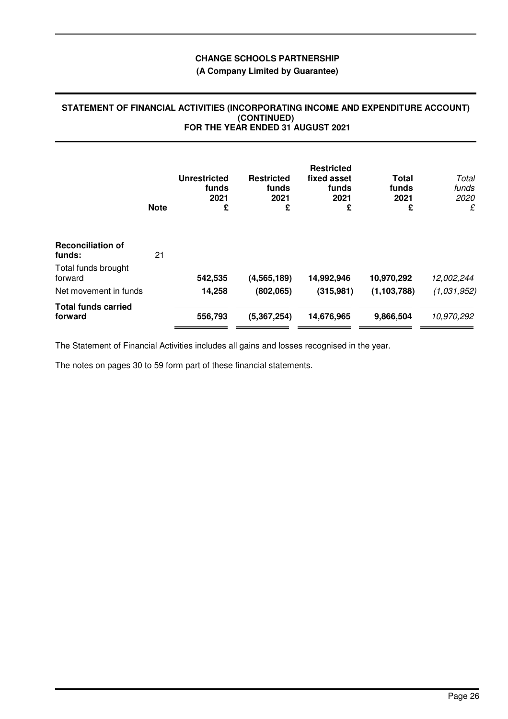# **(A Company Limited by Guarantee)**

#### **STATEMENT OF FINANCIAL ACTIVITIES (INCORPORATING INCOME AND EXPENDITURE ACCOUNT) (CONTINUED) FOR THE YEAR ENDED 31 AUGUST 2021**

|                                       | <b>Note</b> | <b>Unrestricted</b><br>funds<br>2021<br>£ | <b>Restricted</b><br>funds<br>2021<br>£ | <b>Restricted</b><br>fixed asset<br>funds<br>2021<br>£ | Total<br>funds<br>2021<br>£ | Total<br>funds<br>2020<br>£ |
|---------------------------------------|-------------|-------------------------------------------|-----------------------------------------|--------------------------------------------------------|-----------------------------|-----------------------------|
| <b>Reconciliation of</b><br>funds:    | 21          |                                           |                                         |                                                        |                             |                             |
| Total funds brought<br>forward        |             | 542,535                                   | (4, 565, 189)                           | 14,992,946                                             | 10,970,292                  | 12,002,244                  |
| Net movement in funds                 |             | 14,258                                    | (802,065)                               | (315, 981)                                             | (1, 103, 788)               | (1,031,952)                 |
| <b>Total funds carried</b><br>forward |             | 556,793                                   | (5, 367, 254)                           | 14,676,965                                             | 9,866,504                   | 10,970,292                  |

The Statement of Financial Activities includes all gains and losses recognised in the year.

The notes on pages 30 to 59 form part of these financial statements.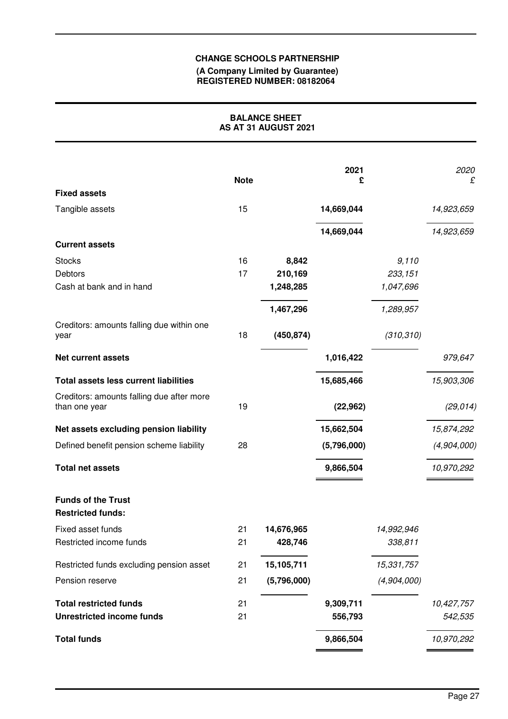#### **(A Company Limited by Guarantee) REGISTERED NUMBER: 08182064**

# **BALANCE SHEET AS AT 31 AUGUST 2021**

|                                                            | <b>Note</b> |             | 2021<br>£   |             | 2020<br>£   |
|------------------------------------------------------------|-------------|-------------|-------------|-------------|-------------|
| <b>Fixed assets</b>                                        |             |             |             |             |             |
| Tangible assets                                            | 15          |             | 14,669,044  |             | 14,923,659  |
|                                                            |             |             | 14,669,044  |             | 14,923,659  |
| <b>Current assets</b>                                      |             |             |             |             |             |
| <b>Stocks</b>                                              | 16          | 8,842       |             | 9,110       |             |
| Debtors                                                    | 17          | 210,169     |             | 233, 151    |             |
| Cash at bank and in hand                                   |             | 1,248,285   |             | 1,047,696   |             |
|                                                            |             | 1,467,296   |             | 1,289,957   |             |
| Creditors: amounts falling due within one<br>year          | 18          | (450, 874)  |             | (310, 310)  |             |
| <b>Net current assets</b>                                  |             |             | 1,016,422   |             | 979,647     |
| <b>Total assets less current liabilities</b>               |             |             | 15,685,466  |             | 15,903,306  |
| Creditors: amounts falling due after more<br>than one year | 19          |             | (22, 962)   |             | (29, 014)   |
| Net assets excluding pension liability                     |             |             | 15,662,504  |             | 15,874,292  |
| Defined benefit pension scheme liability                   | 28          |             | (5,796,000) |             | (4,904,000) |
| <b>Total net assets</b>                                    |             |             | 9,866,504   |             | 10,970,292  |
| <b>Funds of the Trust</b><br><b>Restricted funds:</b>      |             |             |             |             |             |
| Fixed asset funds                                          | 21          | 14,676,965  |             | 14,992,946  |             |
| Restricted income funds                                    | 21          | 428,746     |             | 338,811     |             |
| Restricted funds excluding pension asset                   | 21          | 15,105,711  |             | 15,331,757  |             |
| Pension reserve                                            | 21          | (5,796,000) |             | (4,904,000) |             |
| <b>Total restricted funds</b>                              | 21          |             | 9,309,711   |             | 10,427,757  |
| <b>Unrestricted income funds</b>                           | 21          |             | 556,793     |             | 542,535     |
| <b>Total funds</b>                                         |             |             | 9,866,504   |             | 10,970,292  |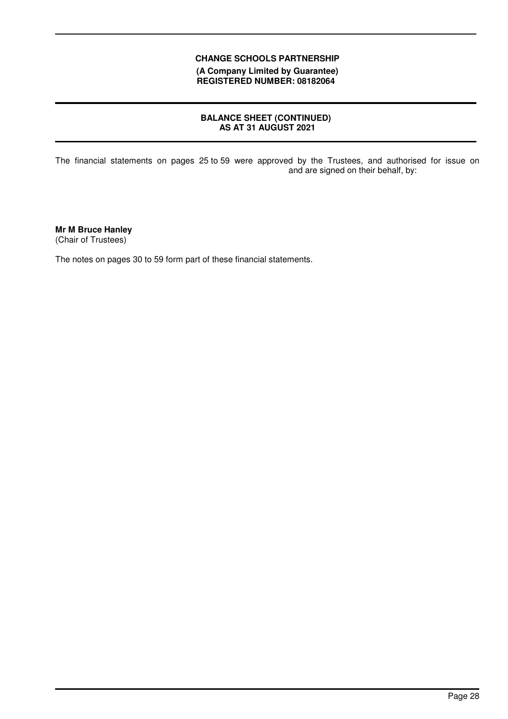**(A Company Limited by Guarantee) REGISTERED NUMBER: 08182064**

# **BALANCE SHEET (CONTINUED) AS AT 31 AUGUST 2021**

The financial statements on pages 25 to 59 were approved by the Trustees, and authorised for issue on and are signed on their behalf, by:

**Mr M Bruce Hanley** (Chair of Trustees)

The notes on pages 30 to 59 form part of these financial statements.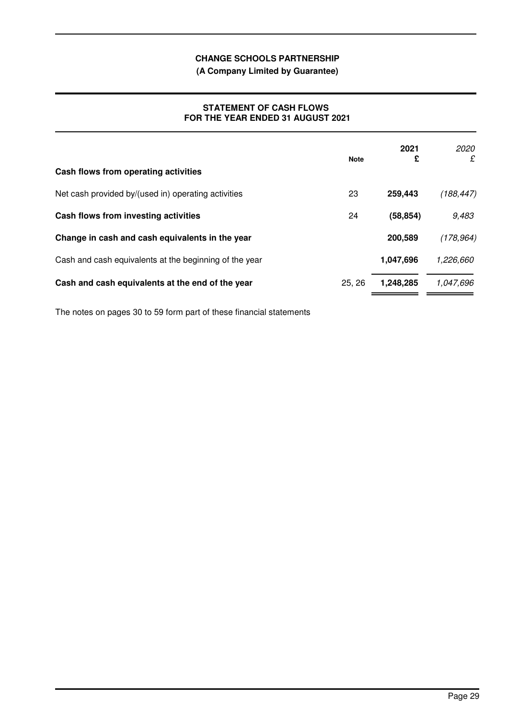**(A Company Limited by Guarantee)**

## **STATEMENT OF CASH FLOWS FOR THE YEAR ENDED 31 AUGUST 2021**

| Cash flows from operating activities                   | <b>Note</b> | 2021<br>£ | 2020<br>£  |
|--------------------------------------------------------|-------------|-----------|------------|
| Net cash provided by/(used in) operating activities    | 23          | 259,443   | (188, 447) |
| Cash flows from investing activities                   | 24          | (58, 854) | 9,483      |
| Change in cash and cash equivalents in the year        |             | 200,589   | (178, 964) |
| Cash and cash equivalents at the beginning of the year |             | 1,047,696 | 1,226,660  |
| Cash and cash equivalents at the end of the year       | 25, 26      | 1,248,285 | 1,047,696  |

The notes on pages 30 to 59 form part of these financial statements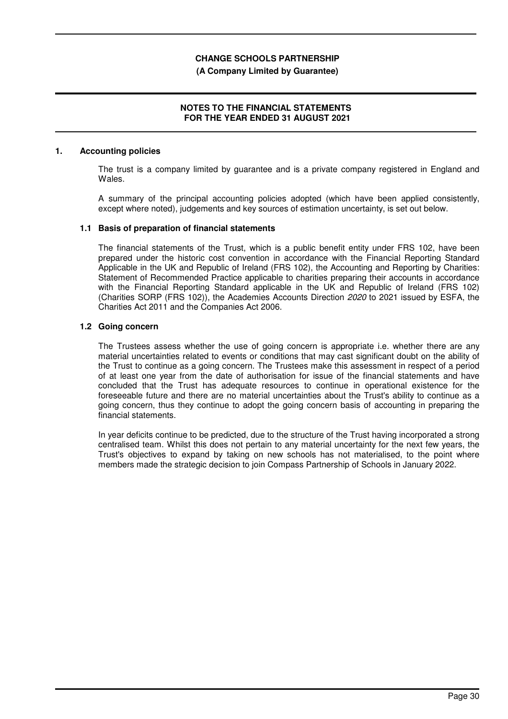#### **(A Company Limited by Guarantee)**

## **NOTES TO THE FINANCIAL STATEMENTS FOR THE YEAR ENDED 31 AUGUST 2021**

#### **1. Accounting policies**

The trust is a company limited by guarantee and is a private company registered in England and Wales.

A summary of the principal accounting policies adopted (which have been applied consistently, except where noted), judgements and key sources of estimation uncertainty, is set out below.

### **1.1 Basis of preparation of financial statements**

The financial statements of the Trust, which is a public benefit entity under FRS 102, have been prepared under the historic cost convention in accordance with the Financial Reporting Standard Applicable in the UK and Republic of Ireland (FRS 102), the Accounting and Reporting by Charities: Statement of Recommended Practice applicable to charities preparing their accounts in accordance with the Financial Reporting Standard applicable in the UK and Republic of Ireland (FRS 102) (Charities SORP (FRS 102)), the Academies Accounts Direction 2020 to 2021 issued by ESFA, the Charities Act 2011 and the Companies Act 2006.

#### **1.2 Going concern**

The Trustees assess whether the use of going concern is appropriate i.e. whether there are any material uncertainties related to events or conditions that may cast significant doubt on the ability of the Trust to continue as a going concern. The Trustees make this assessment in respect of a period of at least one year from the date of authorisation for issue of the financial statements and have concluded that the Trust has adequate resources to continue in operational existence for the foreseeable future and there are no material uncertainties about the Trust's ability to continue as a going concern, thus they continue to adopt the going concern basis of accounting in preparing the financial statements.

In year deficits continue to be predicted, due to the structure of the Trust having incorporated a strong centralised team. Whilst this does not pertain to any material uncertainty for the next few years, the Trust's objectives to expand by taking on new schools has not materialised, to the point where members made the strategic decision to join Compass Partnership of Schools in January 2022.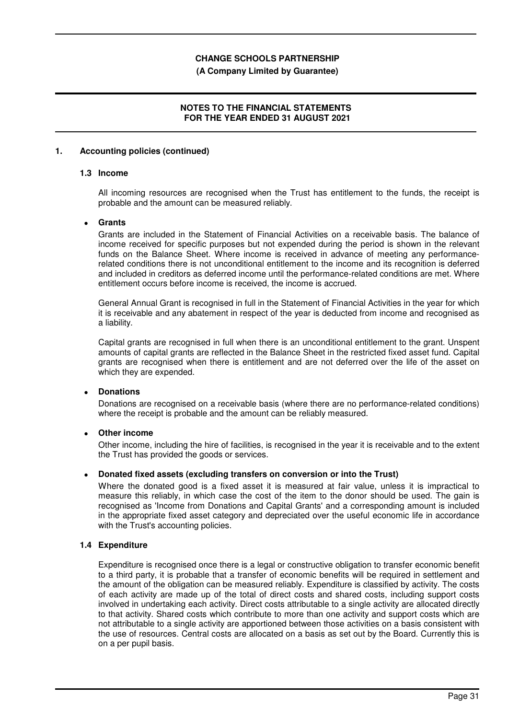#### **(A Company Limited by Guarantee)**

## **NOTES TO THE FINANCIAL STATEMENTS FOR THE YEAR ENDED 31 AUGUST 2021**

#### **1. Accounting policies (continued)**

#### **1.3 Income**

All incoming resources are recognised when the Trust has entitlement to the funds, the receipt is probable and the amount can be measured reliably.

#### • **Grants**

Grants are included in the Statement of Financial Activities on a receivable basis. The balance of income received for specific purposes but not expended during the period is shown in the relevant funds on the Balance Sheet. Where income is received in advance of meeting any performancerelated conditions there is not unconditional entitlement to the income and its recognition is deferred and included in creditors as deferred income until the performance-related conditions are met. Where entitlement occurs before income is received, the income is accrued.

General Annual Grant is recognised in full in the Statement of Financial Activities in the year for which it is receivable and any abatement in respect of the year is deducted from income and recognised as a liability.

Capital grants are recognised in full when there is an unconditional entitlement to the grant. Unspent amounts of capital grants are reflected in the Balance Sheet in the restricted fixed asset fund. Capital grants are recognised when there is entitlement and are not deferred over the life of the asset on which they are expended.

## • **Donations**

Donations are recognised on a receivable basis (where there are no performance-related conditions) where the receipt is probable and the amount can be reliably measured.

## • **Other income**

Other income, including the hire of facilities, is recognised in the year it is receivable and to the extent the Trust has provided the goods or services.

#### • **Donated fixed assets (excluding transfers on conversion or into the Trust)**

Where the donated good is a fixed asset it is measured at fair value, unless it is impractical to measure this reliably, in which case the cost of the item to the donor should be used. The gain is recognised as 'Income from Donations and Capital Grants' and a corresponding amount is included in the appropriate fixed asset category and depreciated over the useful economic life in accordance with the Trust's accounting policies.

#### **1.4 Expenditure**

Expenditure is recognised once there is a legal or constructive obligation to transfer economic benefit to a third party, it is probable that a transfer of economic benefits will be required in settlement and the amount of the obligation can be measured reliably. Expenditure is classified by activity. The costs of each activity are made up of the total of direct costs and shared costs, including support costs involved in undertaking each activity. Direct costs attributable to a single activity are allocated directly to that activity. Shared costs which contribute to more than one activity and support costs which are not attributable to a single activity are apportioned between those activities on a basis consistent with the use of resources. Central costs are allocated on a basis as set out by the Board. Currently this is on a per pupil basis.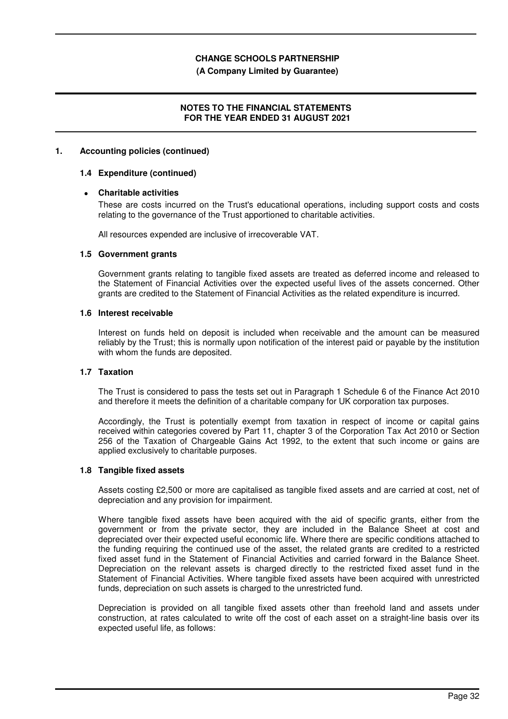#### **(A Company Limited by Guarantee)**

## **NOTES TO THE FINANCIAL STATEMENTS FOR THE YEAR ENDED 31 AUGUST 2021**

#### **1. Accounting policies (continued)**

### **1.4 Expenditure (continued)**

## • **Charitable activities**

These are costs incurred on the Trust's educational operations, including support costs and costs relating to the governance of the Trust apportioned to charitable activities.

All resources expended are inclusive of irrecoverable VAT.

#### **1.5 Government grants**

Government grants relating to tangible fixed assets are treated as deferred income and released to the Statement of Financial Activities over the expected useful lives of the assets concerned. Other grants are credited to the Statement of Financial Activities as the related expenditure is incurred.

### **1.6 Interest receivable**

Interest on funds held on deposit is included when receivable and the amount can be measured reliably by the Trust; this is normally upon notification of the interest paid or payable by the institution with whom the funds are deposited.

## **1.7 Taxation**

The Trust is considered to pass the tests set out in Paragraph 1 Schedule 6 of the Finance Act 2010 and therefore it meets the definition of a charitable company for UK corporation tax purposes.

Accordingly, the Trust is potentially exempt from taxation in respect of income or capital gains received within categories covered by Part 11, chapter 3 of the Corporation Tax Act 2010 or Section 256 of the Taxation of Chargeable Gains Act 1992, to the extent that such income or gains are applied exclusively to charitable purposes.

## **1.8 Tangible fixed assets**

Assets costing £2,500 or more are capitalised as tangible fixed assets and are carried at cost, net of depreciation and any provision for impairment.

Where tangible fixed assets have been acquired with the aid of specific grants, either from the government or from the private sector, they are included in the Balance Sheet at cost and depreciated over their expected useful economic life. Where there are specific conditions attached to the funding requiring the continued use of the asset, the related grants are credited to a restricted fixed asset fund in the Statement of Financial Activities and carried forward in the Balance Sheet. Depreciation on the relevant assets is charged directly to the restricted fixed asset fund in the Statement of Financial Activities. Where tangible fixed assets have been acquired with unrestricted funds, depreciation on such assets is charged to the unrestricted fund.

Depreciation is provided on all tangible fixed assets other than freehold land and assets under construction, at rates calculated to write off the cost of each asset on a straight-line basis over its expected useful life, as follows: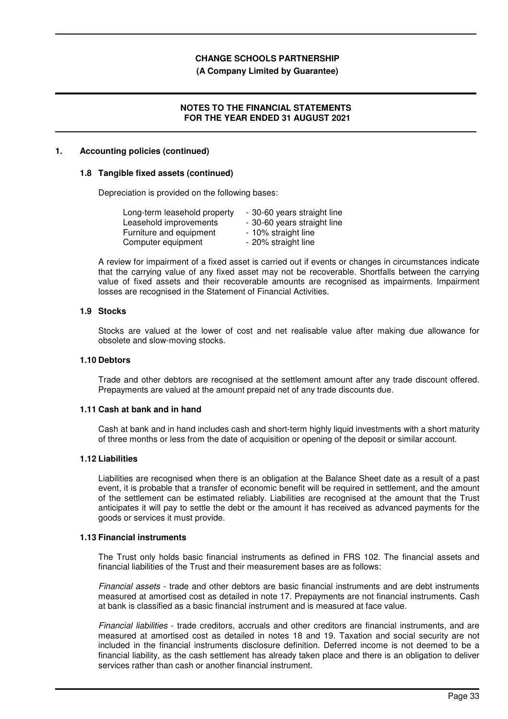#### **(A Company Limited by Guarantee)**

## **NOTES TO THE FINANCIAL STATEMENTS FOR THE YEAR ENDED 31 AUGUST 2021**

#### **1. Accounting policies (continued)**

#### **1.8 Tangible fixed assets (continued)**

Depreciation is provided on the following bases:

| Long-term leasehold property | - 30-60 years straight line |
|------------------------------|-----------------------------|
| Leasehold improvements       | - 30-60 years straight line |
| Furniture and equipment      | - 10% straight line         |
| Computer equipment           | - 20% straight line         |

A review for impairment of a fixed asset is carried out if events or changes in circumstances indicate that the carrying value of any fixed asset may not be recoverable. Shortfalls between the carrying value of fixed assets and their recoverable amounts are recognised as impairments. Impairment losses are recognised in the Statement of Financial Activities.

#### **1.9 Stocks**

Stocks are valued at the lower of cost and net realisable value after making due allowance for obsolete and slow-moving stocks.

#### **1.10 Debtors**

Trade and other debtors are recognised at the settlement amount after any trade discount offered. Prepayments are valued at the amount prepaid net of any trade discounts due.

#### **1.11 Cash at bank and in hand**

Cash at bank and in hand includes cash and short-term highly liquid investments with a short maturity of three months or less from the date of acquisition or opening of the deposit or similar account.

#### **1.12 Liabilities**

Liabilities are recognised when there is an obligation at the Balance Sheet date as a result of a past event, it is probable that a transfer of economic benefit will be required in settlement, and the amount of the settlement can be estimated reliably. Liabilities are recognised at the amount that the Trust anticipates it will pay to settle the debt or the amount it has received as advanced payments for the goods or services it must provide.

## **1.13 Financial instruments**

The Trust only holds basic financial instruments as defined in FRS 102. The financial assets and financial liabilities of the Trust and their measurement bases are as follows:

Financial assets - trade and other debtors are basic financial instruments and are debt instruments measured at amortised cost as detailed in note 17. Prepayments are not financial instruments. Cash at bank is classified as a basic financial instrument and is measured at face value.

Financial liabilities - trade creditors, accruals and other creditors are financial instruments, and are measured at amortised cost as detailed in notes 18 and 19. Taxation and social security are not included in the financial instruments disclosure definition. Deferred income is not deemed to be a financial liability, as the cash settlement has already taken place and there is an obligation to deliver services rather than cash or another financial instrument.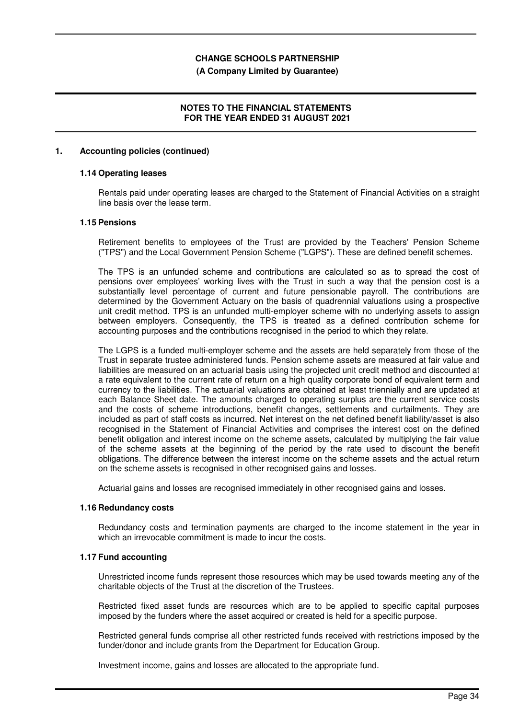#### **(A Company Limited by Guarantee)**

## **NOTES TO THE FINANCIAL STATEMENTS FOR THE YEAR ENDED 31 AUGUST 2021**

#### **1. Accounting policies (continued)**

## **1.14 Operating leases**

Rentals paid under operating leases are charged to the Statement of Financial Activities on a straight line basis over the lease term.

### **1.15 Pensions**

Retirement benefits to employees of the Trust are provided by the Teachers' Pension Scheme ("TPS") and the Local Government Pension Scheme ("LGPS"). These are defined benefit schemes.

The TPS is an unfunded scheme and contributions are calculated so as to spread the cost of pensions over employees' working lives with the Trust in such a way that the pension cost is a substantially level percentage of current and future pensionable payroll. The contributions are determined by the Government Actuary on the basis of quadrennial valuations using a prospective unit credit method. TPS is an unfunded multi-employer scheme with no underlying assets to assign between employers. Consequently, the TPS is treated as a defined contribution scheme for accounting purposes and the contributions recognised in the period to which they relate.

The LGPS is a funded multi-employer scheme and the assets are held separately from those of the Trust in separate trustee administered funds. Pension scheme assets are measured at fair value and liabilities are measured on an actuarial basis using the projected unit credit method and discounted at a rate equivalent to the current rate of return on a high quality corporate bond of equivalent term and currency to the liabilities. The actuarial valuations are obtained at least triennially and are updated at each Balance Sheet date. The amounts charged to operating surplus are the current service costs and the costs of scheme introductions, benefit changes, settlements and curtailments. They are included as part of staff costs as incurred. Net interest on the net defined benefit liability/asset is also recognised in the Statement of Financial Activities and comprises the interest cost on the defined benefit obligation and interest income on the scheme assets, calculated by multiplying the fair value of the scheme assets at the beginning of the period by the rate used to discount the benefit obligations. The difference between the interest income on the scheme assets and the actual return on the scheme assets is recognised in other recognised gains and losses.

Actuarial gains and losses are recognised immediately in other recognised gains and losses.

#### **1.16 Redundancy costs**

Redundancy costs and termination payments are charged to the income statement in the year in which an irrevocable commitment is made to incur the costs.

### **1.17 Fund accounting**

Unrestricted income funds represent those resources which may be used towards meeting any of the charitable objects of the Trust at the discretion of the Trustees.

Restricted fixed asset funds are resources which are to be applied to specific capital purposes imposed by the funders where the asset acquired or created is held for a specific purpose.

Restricted general funds comprise all other restricted funds received with restrictions imposed by the funder/donor and include grants from the Department for Education Group.

Investment income, gains and losses are allocated to the appropriate fund.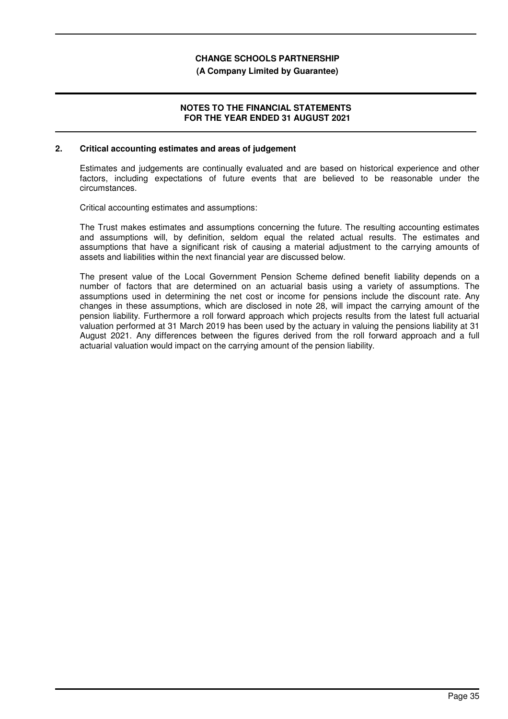#### **(A Company Limited by Guarantee)**

## **NOTES TO THE FINANCIAL STATEMENTS FOR THE YEAR ENDED 31 AUGUST 2021**

#### **2. Critical accounting estimates and areas of judgement**

Estimates and judgements are continually evaluated and are based on historical experience and other factors, including expectations of future events that are believed to be reasonable under the circumstances.

Critical accounting estimates and assumptions:

The Trust makes estimates and assumptions concerning the future. The resulting accounting estimates and assumptions will, by definition, seldom equal the related actual results. The estimates and assumptions that have a significant risk of causing a material adjustment to the carrying amounts of assets and liabilities within the next financial year are discussed below.

The present value of the Local Government Pension Scheme defined benefit liability depends on a number of factors that are determined on an actuarial basis using a variety of assumptions. The assumptions used in determining the net cost or income for pensions include the discount rate. Any changes in these assumptions, which are disclosed in note 28, will impact the carrying amount of the pension liability. Furthermore a roll forward approach which projects results from the latest full actuarial valuation performed at 31 March 2019 has been used by the actuary in valuing the pensions liability at 31 August 2021. Any differences between the figures derived from the roll forward approach and a full actuarial valuation would impact on the carrying amount of the pension liability.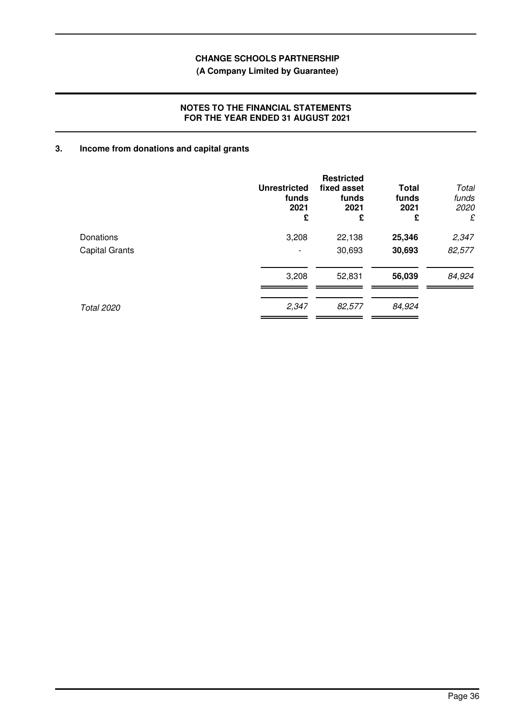# **(A Company Limited by Guarantee)**

## **NOTES TO THE FINANCIAL STATEMENTS FOR THE YEAR ENDED 31 AUGUST 2021**

# **3. Income from donations and capital grants**

|                   | <b>Unrestricted</b><br>funds<br>2021<br>£ | <b>Restricted</b><br>fixed asset<br>funds<br>2021<br>£ | <b>Total</b><br>funds<br>2021<br>£ | Total<br>funds<br>2020<br>£ |
|-------------------|-------------------------------------------|--------------------------------------------------------|------------------------------------|-----------------------------|
| Donations         | 3,208                                     | 22,138                                                 | 25,346                             | 2,347                       |
| Capital Grants    | $\overline{\phantom{a}}$                  | 30,693                                                 | 30,693                             | 82,577                      |
|                   | 3,208                                     | 52,831                                                 | 56,039                             | 84,924                      |
| <b>Total 2020</b> | 2,347                                     | 82,577                                                 | 84,924                             |                             |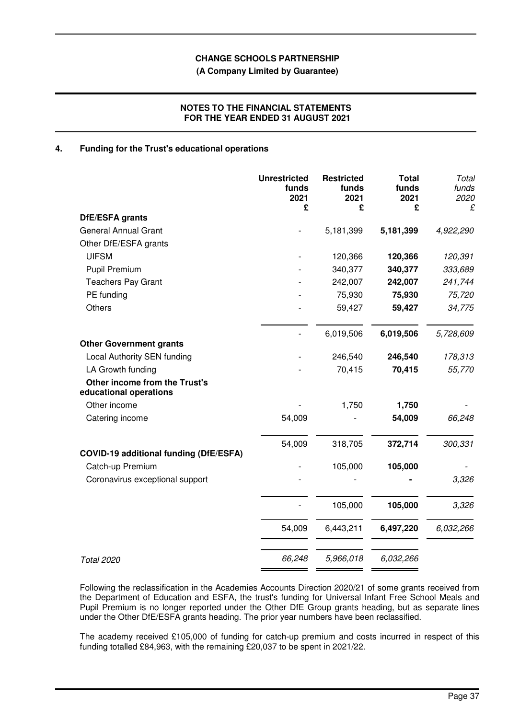**(A Company Limited by Guarantee)**

## **NOTES TO THE FINANCIAL STATEMENTS FOR THE YEAR ENDED 31 AUGUST 2021**

## **4. Funding for the Trust's educational operations**

|                                                         | <b>Unrestricted</b><br>funds<br>2021<br>£ | <b>Restricted</b><br>funds<br>2021<br>£ | <b>Total</b><br>funds<br>2021<br>£ | Total<br>funds<br>2020<br>£ |
|---------------------------------------------------------|-------------------------------------------|-----------------------------------------|------------------------------------|-----------------------------|
| DfE/ESFA grants                                         |                                           |                                         |                                    |                             |
| <b>General Annual Grant</b>                             |                                           | 5,181,399                               | 5,181,399                          | 4,922,290                   |
| Other DfE/ESFA grants                                   |                                           |                                         |                                    |                             |
| <b>UIFSM</b>                                            |                                           | 120,366                                 | 120,366                            | 120,391                     |
| <b>Pupil Premium</b>                                    |                                           | 340,377                                 | 340,377                            | 333,689                     |
| <b>Teachers Pay Grant</b>                               |                                           | 242,007                                 | 242,007                            | 241,744                     |
| PE funding                                              |                                           | 75,930                                  | 75,930                             | 75,720                      |
| <b>Others</b>                                           |                                           | 59,427                                  | 59,427                             | 34,775                      |
|                                                         |                                           | 6,019,506                               | 6,019,506                          | 5,728,609                   |
| <b>Other Government grants</b>                          |                                           |                                         |                                    |                             |
| <b>Local Authority SEN funding</b>                      |                                           | 246,540                                 | 246,540                            | 178,313                     |
| LA Growth funding                                       |                                           | 70,415                                  | 70,415                             | 55,770                      |
| Other income from the Trust's<br>educational operations |                                           |                                         |                                    |                             |
| Other income                                            |                                           | 1,750                                   | 1,750                              |                             |
| Catering income                                         | 54,009                                    |                                         | 54,009                             | 66,248                      |
| <b>COVID-19 additional funding (DfE/ESFA)</b>           | 54,009                                    | 318,705                                 | 372,714                            | 300,331                     |
| Catch-up Premium                                        |                                           | 105,000                                 | 105,000                            |                             |
| Coronavirus exceptional support                         |                                           |                                         |                                    | 3,326                       |
|                                                         |                                           | 105,000                                 | 105,000                            | 3,326                       |
|                                                         | 54,009                                    | 6,443,211                               | 6,497,220                          | 6,032,266                   |
| <b>Total 2020</b>                                       | 66,248                                    | 5,966,018                               | 6,032,266                          |                             |

Following the reclassification in the Academies Accounts Direction 2020/21 of some grants received from the Department of Education and ESFA, the trust's funding for Universal Infant Free School Meals and Pupil Premium is no longer reported under the Other DfE Group grants heading, but as separate lines under the Other DfE/ESFA grants heading. The prior year numbers have been reclassified.

The academy received £105,000 of funding for catch-up premium and costs incurred in respect of this funding totalled £84,963, with the remaining £20,037 to be spent in 2021/22.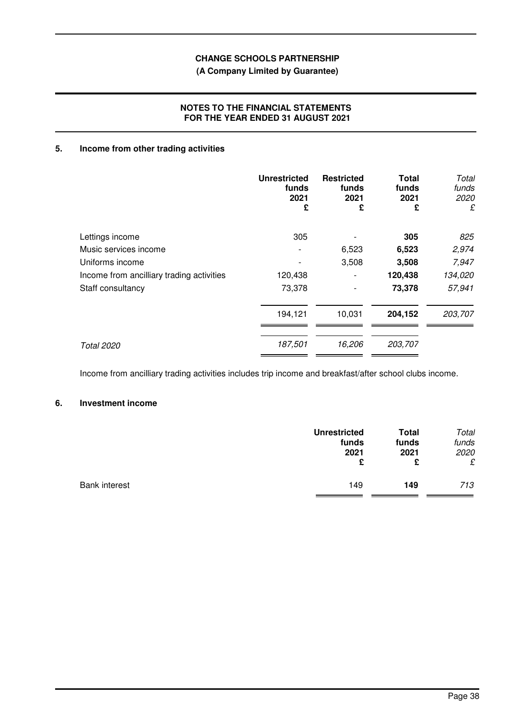# **(A Company Limited by Guarantee)**

# **NOTES TO THE FINANCIAL STATEMENTS FOR THE YEAR ENDED 31 AUGUST 2021**

# **5. Income from other trading activities**

|                                           | <b>Unrestricted</b><br>funds<br>2021<br>£ | <b>Restricted</b><br>funds<br>2021<br>£ | Total<br>funds<br>2021<br>£ | Total<br>funds<br>2020<br>£ |
|-------------------------------------------|-------------------------------------------|-----------------------------------------|-----------------------------|-----------------------------|
| Lettings income                           | 305                                       |                                         | 305                         | 825                         |
| Music services income                     |                                           | 6,523                                   | 6,523                       | 2,974                       |
| Uniforms income                           |                                           | 3,508                                   | 3,508                       | 7,947                       |
| Income from ancilliary trading activities | 120,438                                   |                                         | 120,438                     | 134,020                     |
| Staff consultancy                         | 73,378                                    |                                         | 73,378                      | 57,941                      |
|                                           | 194,121                                   | 10,031                                  | 204,152                     | 203,707                     |
| <b>Total 2020</b>                         | 187,501                                   | 16,206                                  | 203,707                     |                             |

Income from ancilliary trading activities includes trip income and breakfast/after school clubs income.

# **6. Investment income**

|                      | <b>Unrestricted</b> | <b>Total</b> | Total |
|----------------------|---------------------|--------------|-------|
|                      | funds               | funds        | funds |
|                      | 2021                | 2021         | 2020  |
|                      | £                   | £            | £     |
| <b>Bank interest</b> | 149                 | 149          | 713   |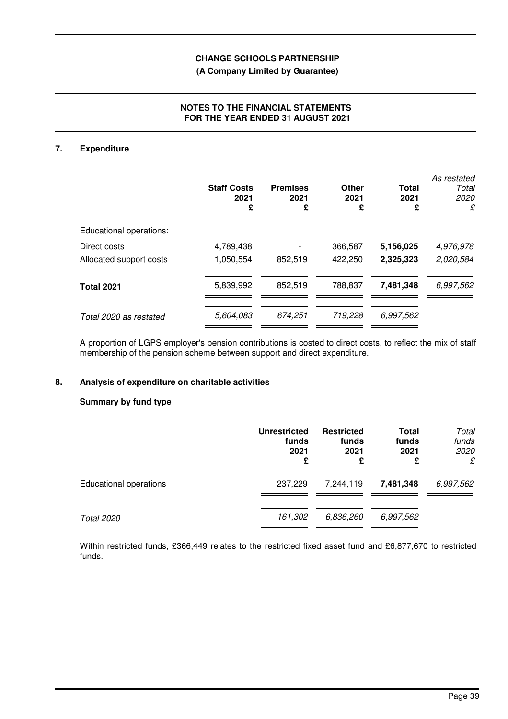# **(A Company Limited by Guarantee)**

# **NOTES TO THE FINANCIAL STATEMENTS FOR THE YEAR ENDED 31 AUGUST 2021**

# **7. Expenditure**

|                         | <b>Staff Costs</b><br>2021<br>£ | <b>Premises</b><br>2021<br>£ | Other<br>2021<br>£ | <b>Total</b><br>2021<br>£ | As restated<br>Total<br>2020<br>£ |
|-------------------------|---------------------------------|------------------------------|--------------------|---------------------------|-----------------------------------|
| Educational operations: |                                 |                              |                    |                           |                                   |
| Direct costs            | 4,789,438                       |                              | 366,587            | 5,156,025                 | 4,976,978                         |
| Allocated support costs | 1,050,554                       | 852,519                      | 422,250            | 2,325,323                 | 2,020,584                         |
| <b>Total 2021</b>       | 5,839,992                       | 852,519                      | 788,837            | 7,481,348                 | 6,997,562                         |
| Total 2020 as restated  | 5,604,083                       | 674,251                      | 719,228            | 6,997,562                 |                                   |

A proportion of LGPS employer's pension contributions is costed to direct costs, to reflect the mix of staff membership of the pension scheme between support and direct expenditure.

# **8. Analysis of expenditure on charitable activities**

## **Summary by fund type**

|                               | <b>Unrestricted</b><br>funds<br>2021<br>£ | <b>Restricted</b><br>funds<br>2021<br>£ | Total<br>funds<br>2021<br>£ | Total<br>funds<br>2020<br>£ |
|-------------------------------|-------------------------------------------|-----------------------------------------|-----------------------------|-----------------------------|
| <b>Educational operations</b> | 237,229                                   | 7,244,119                               | 7,481,348                   | 6,997,562                   |
| Total 2020                    | 161,302                                   | 6,836,260                               | 6,997,562                   |                             |

Within restricted funds, £366,449 relates to the restricted fixed asset fund and £6,877,670 to restricted funds.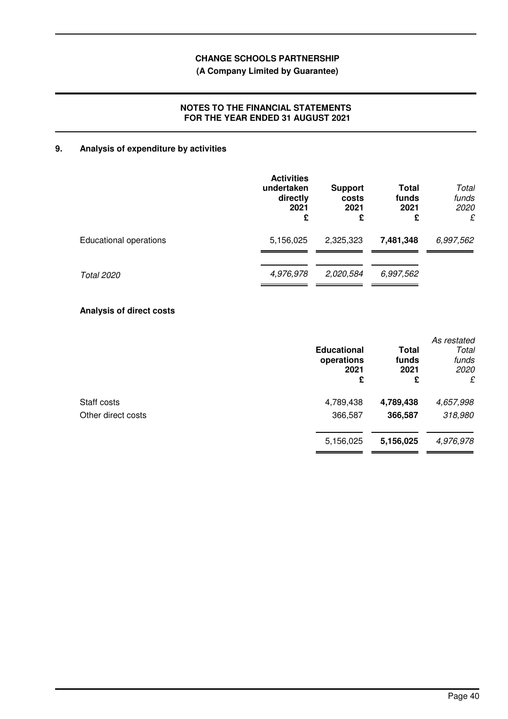# **(A Company Limited by Guarantee)**

## **NOTES TO THE FINANCIAL STATEMENTS FOR THE YEAR ENDED 31 AUGUST 2021**

# **9. Analysis of expenditure by activities**

|                               | <b>Activities</b><br>undertaken<br>directly<br>2021<br>£ | <b>Support</b><br>costs<br>2021<br>£ | <b>Total</b><br>funds<br>2021<br>£ | Total<br>funds<br>2020<br>£ |
|-------------------------------|----------------------------------------------------------|--------------------------------------|------------------------------------|-----------------------------|
| <b>Educational operations</b> | 5,156,025                                                | 2,325,323                            | 7,481,348                          | 6,997,562                   |
| <b>Total 2020</b>             | 4,976,978                                                | 2,020,584                            | 6,997,562                          |                             |

# **Analysis of direct costs**

|                    | <b>Educational</b><br>operations<br>2021<br>£ | Total<br>funds<br>2021<br>£ | As restated<br>Total<br>funds<br>2020<br>£ |
|--------------------|-----------------------------------------------|-----------------------------|--------------------------------------------|
| Staff costs        | 4,789,438                                     | 4,789,438                   | 4,657,998                                  |
| Other direct costs | 366,587                                       | 366,587                     | 318,980                                    |
|                    | 5,156,025                                     | 5,156,025                   | 4,976,978                                  |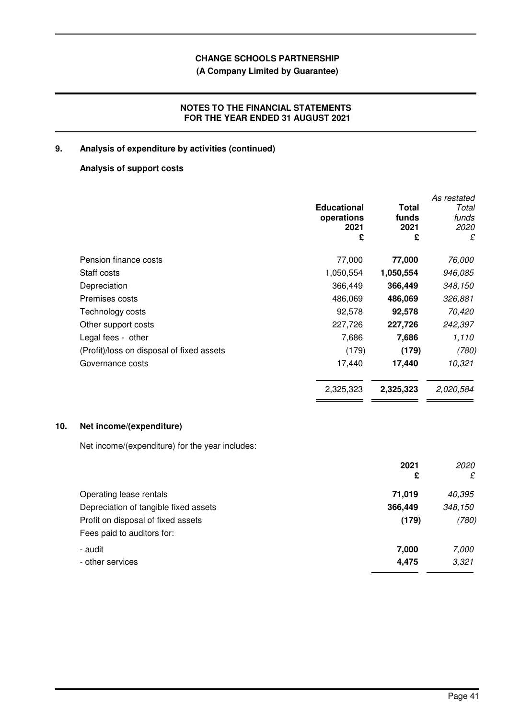# **(A Company Limited by Guarantee)**

# **NOTES TO THE FINANCIAL STATEMENTS FOR THE YEAR ENDED 31 AUGUST 2021**

# **9. Analysis of expenditure by activities (continued)**

# **Analysis of support costs**

|                                           | <b>Educational</b><br>operations<br>2021<br>£ | Total<br>funds<br>2021<br>£ | As restated<br>Total<br>funds<br><i>2020</i><br>£ |
|-------------------------------------------|-----------------------------------------------|-----------------------------|---------------------------------------------------|
| Pension finance costs                     | 77,000                                        | 77,000                      | 76,000                                            |
| Staff costs                               | 1,050,554                                     | 1,050,554                   | 946,085                                           |
| Depreciation                              | 366,449                                       | 366,449                     | 348,150                                           |
| Premises costs                            | 486,069                                       | 486,069                     | 326,881                                           |
| Technology costs                          | 92,578                                        | 92,578                      | 70,420                                            |
| Other support costs                       | 227,726                                       | 227,726                     | 242,397                                           |
| Legal fees - other                        | 7,686                                         | 7,686                       | 1,110                                             |
| (Profit)/loss on disposal of fixed assets | (179)                                         | (179)                       | (780)                                             |
| Governance costs                          | 17,440                                        | 17,440                      | 10,321                                            |
|                                           | 2,325,323                                     | 2,325,323                   | 2,020,584                                         |

# **10. Net income/(expenditure)**

Net income/(expenditure) for the year includes:

|                                       | 2021<br>£ | 2020<br>£ |
|---------------------------------------|-----------|-----------|
| Operating lease rentals               | 71,019    | 40,395    |
| Depreciation of tangible fixed assets | 366,449   | 348,150   |
| Profit on disposal of fixed assets    | (179)     | (780)     |
| Fees paid to auditors for:            |           |           |
| - audit                               | 7,000     | 7,000     |
| - other services                      | 4,475     | 3,321     |
|                                       |           |           |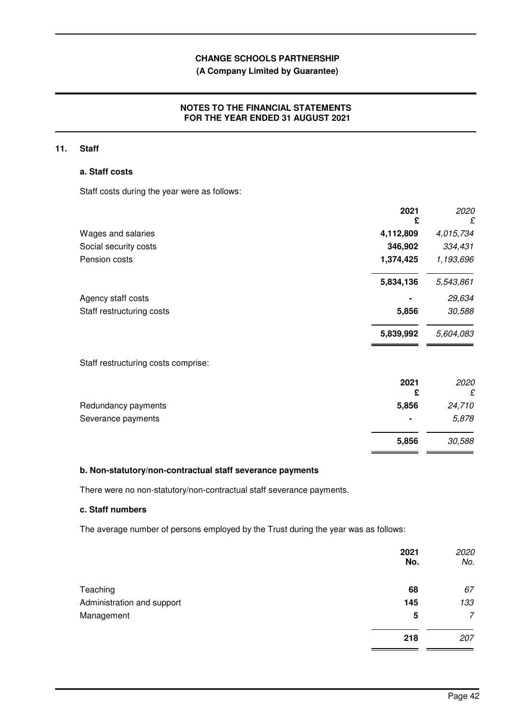# **(A Company Limited by Guarantee)**

# **NOTES TO THE FINANCIAL STATEMENTS FOR THE YEAR ENDED 31 AUGUST 2021**

## **11. Staff**

## **a. Staff costs**

Staff costs during the year were as follows:

|                                     | 2021<br>£ | 2020<br>£ |
|-------------------------------------|-----------|-----------|
| Wages and salaries                  | 4,112,809 | 4,015,734 |
| Social security costs               | 346,902   | 334,431   |
| Pension costs                       | 1,374,425 | 1,193,696 |
|                                     | 5,834,136 | 5,543,861 |
| Agency staff costs                  |           | 29,634    |
| Staff restructuring costs           | 5,856     | 30,588    |
|                                     | 5,839,992 | 5,604,083 |
| Staff restructuring costs comprise: |           |           |
|                                     | 2021<br>£ | 2020<br>£ |
| Redundancy payments                 | 5,856     | 24,710    |
| Severance payments                  |           | 5,878     |
|                                     | 5,856     | 30,588    |

### **b. Non-statutory/non-contractual staff severance payments**

There were no non-statutory/non-contractual staff severance payments.

## **c. Staff numbers**

The average number of persons employed by the Trust during the year was as follows:

|                            | 2021<br>No. | 2020<br>No. |
|----------------------------|-------------|-------------|
| Teaching                   | 68          | 67          |
| Administration and support | 145         | 133         |
| Management                 | 5           | 7           |
|                            | 218         | 207         |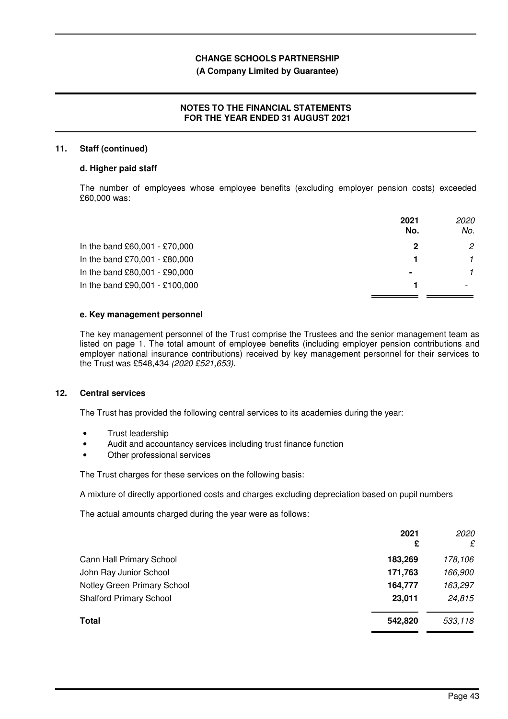## **(A Company Limited by Guarantee)**

## **NOTES TO THE FINANCIAL STATEMENTS FOR THE YEAR ENDED 31 AUGUST 2021**

## **11. Staff (continued)**

#### **d. Higher paid staff**

The number of employees whose employee benefits (excluding employer pension costs) exceeded £60,000 was:

|                                | 2021<br>No.    | <i>2020</i><br>No. |
|--------------------------------|----------------|--------------------|
| In the band £60,001 - £70,000  | 2              | 2                  |
| In the band £70,001 - £80,000  |                |                    |
| In the band £80,001 - £90,000  | $\blacksquare$ |                    |
| In the band £90,001 - £100,000 |                |                    |

#### **e. Key management personnel**

The key management personnel of the Trust comprise the Trustees and the senior management team as listed on page 1. The total amount of employee benefits (including employer pension contributions and employer national insurance contributions) received by key management personnel for their services to the Trust was £548,434 (2020 £521,653).

## **12. Central services**

The Trust has provided the following central services to its academies during the year:

- Trust leadership
- Audit and accountancy services including trust finance function
- Other professional services

The Trust charges for these services on the following basis:

A mixture of directly apportioned costs and charges excluding depreciation based on pupil numbers

The actual amounts charged during the year were as follows:

| 2021<br>£ | <i>2020</i><br>£ |
|-----------|------------------|
| 183,269   | 178,106          |
| 171,763   | 166,900          |
| 164,777   | 163,297          |
| 23,011    | 24,815           |
| 542,820   | 533,118          |
|           |                  |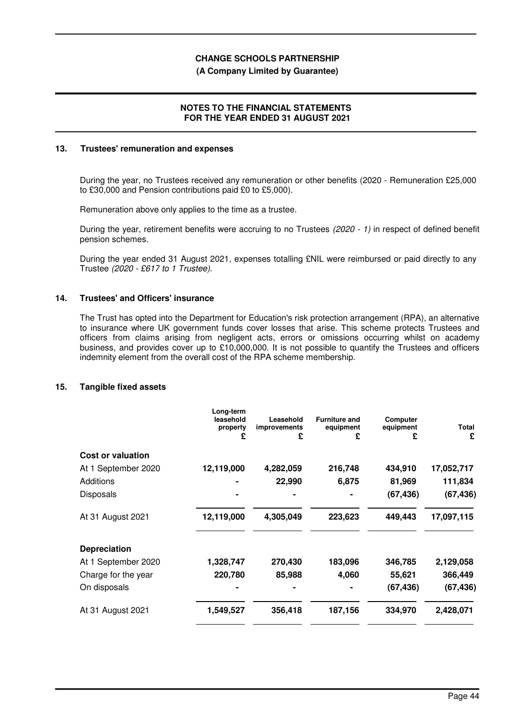#### **(A Company Limited by Guarantee)**

## **NOTES TO THE FINANCIAL STATEMENTS FOR THE YEAR ENDED 31 AUGUST 2021**

#### **13. Trustees' remuneration and expenses**

During the year, no Trustees received any remuneration or other benefits (2020 - Remuneration £25,000 to £30,000 and Pension contributions paid £0 to £5,000).

Remuneration above only applies to the time as a trustee.

During the year, retirement benefits were accruing to no Trustees (2020 - 1) in respect of defined benefit pension schemes.

During the year ended 31 August 2021, expenses totalling £NIL were reimbursed or paid directly to any Trustee (2020 - £617 to 1 Trustee).

#### **14. Trustees' and Officers' insurance**

The Trust has opted into the Department for Education's risk protection arrangement (RPA), an alternative to insurance where UK government funds cover losses that arise. This scheme protects Trustees and officers from claims arising from negligent acts, errors or omissions occurring whilst on academy business, and provides cover up to £10,000,000. It is not possible to quantify the Trustees and officers indemnity element from the overall cost of the RPA scheme membership.

### **15. Tangible fixed assets**

|                          | Long-term<br>leasehold<br>property<br>£ | Leasehold<br>improvements<br>£ | <b>Furniture and</b><br>equipment<br>£ | Computer<br>equipment<br>£ | <b>Total</b><br>£ |
|--------------------------|-----------------------------------------|--------------------------------|----------------------------------------|----------------------------|-------------------|
| <b>Cost or valuation</b> |                                         |                                |                                        |                            |                   |
| At 1 September 2020      | 12,119,000                              | 4,282,059                      | 216,748                                | 434,910                    | 17,052,717        |
| Additions                |                                         | 22,990                         | 6,875                                  | 81,969                     | 111,834           |
| <b>Disposals</b>         |                                         |                                |                                        | (67, 436)                  | (67, 436)         |
| At 31 August 2021        | 12,119,000                              | 4,305,049                      | 223,623                                | 449,443                    | 17,097,115        |
| <b>Depreciation</b>      |                                         |                                |                                        |                            |                   |
| At 1 September 2020      | 1,328,747                               | 270,430                        | 183,096                                | 346,785                    | 2,129,058         |
| Charge for the year      | 220,780                                 | 85,988                         | 4,060                                  | 55,621                     | 366,449           |
| On disposals             |                                         |                                |                                        | (67,436)                   | (67, 436)         |
| At 31 August 2021        | 1,549,527                               | 356,418                        | 187,156                                | 334,970                    | 2,428,071         |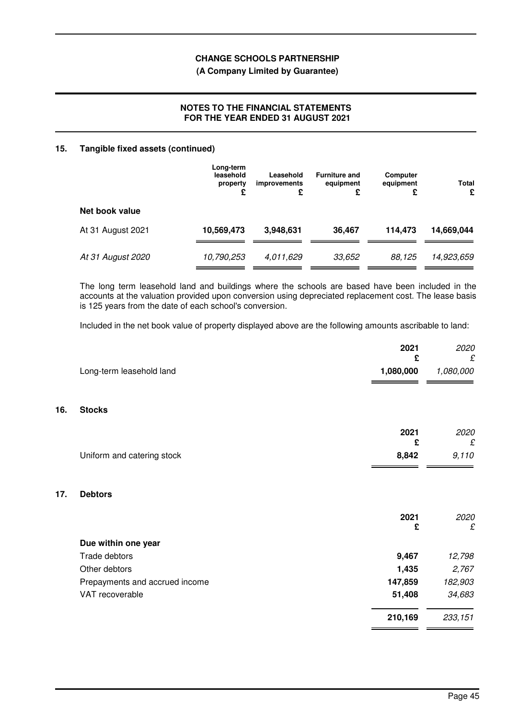## **(A Company Limited by Guarantee)**

## **NOTES TO THE FINANCIAL STATEMENTS FOR THE YEAR ENDED 31 AUGUST 2021**

### **15. Tangible fixed assets (continued)**

**16.** 

**17. Debtors**

|                   | Long-term<br>leasehold<br>property<br>£ | Leasehold<br><i>improvements</i><br>£ | <b>Furniture and</b><br>equipment<br>£ | Computer<br>equipment<br>£ | <b>Total</b><br>£ |
|-------------------|-----------------------------------------|---------------------------------------|----------------------------------------|----------------------------|-------------------|
| Net book value    |                                         |                                       |                                        |                            |                   |
| At 31 August 2021 | 10,569,473                              | 3,948,631                             | 36.467                                 | 114,473                    | 14,669,044        |
| At 31 August 2020 | 10,790,253                              | 4,011,629                             | 33,652                                 | 88.125                     | 14,923,659        |

The long term leasehold land and buildings where the schools are based have been included in the accounts at the valuation provided upon conversion using depreciated replacement cost. The lease basis is 125 years from the date of each school's conversion.

Included in the net book value of property displayed above are the following amounts ascribable to land:

| Long-term leasehold land<br>1,080,000<br><b>Stocks</b><br>2021<br>£<br>8,842<br>Uniform and catering stock<br><b>Debtors</b><br>2021<br>£<br>Due within one year<br>9,467<br>Trade debtors<br>Other debtors<br>1,435<br>147,859<br>Prepayments and accrued income<br>VAT recoverable<br>51,408 | 2021<br>£ | 2020<br>£ |
|------------------------------------------------------------------------------------------------------------------------------------------------------------------------------------------------------------------------------------------------------------------------------------------------|-----------|-----------|
|                                                                                                                                                                                                                                                                                                |           | 1,080,000 |
|                                                                                                                                                                                                                                                                                                |           |           |
|                                                                                                                                                                                                                                                                                                |           | 2020<br>£ |
|                                                                                                                                                                                                                                                                                                |           | 9,110     |
|                                                                                                                                                                                                                                                                                                |           |           |
|                                                                                                                                                                                                                                                                                                |           | 2020<br>£ |
|                                                                                                                                                                                                                                                                                                |           |           |
|                                                                                                                                                                                                                                                                                                |           | 12,798    |
|                                                                                                                                                                                                                                                                                                |           | 2,767     |
|                                                                                                                                                                                                                                                                                                |           | 182,903   |
|                                                                                                                                                                                                                                                                                                |           | 34,683    |
| 210,169                                                                                                                                                                                                                                                                                        |           | 233,151   |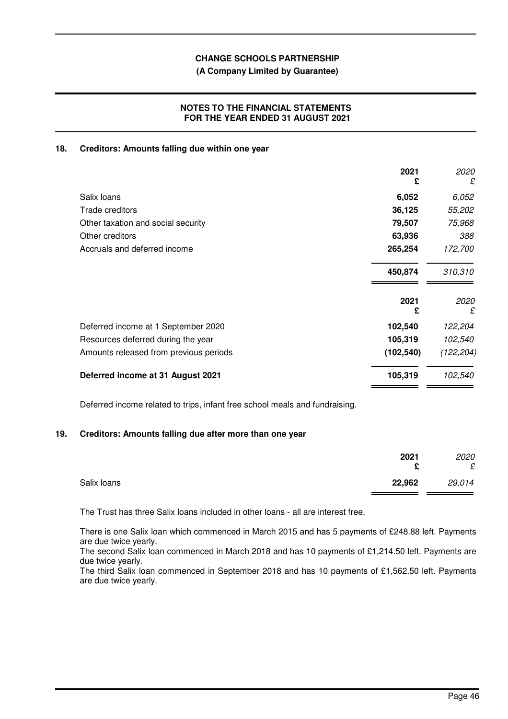## **(A Company Limited by Guarantee)**

## **NOTES TO THE FINANCIAL STATEMENTS FOR THE YEAR ENDED 31 AUGUST 2021**

#### **18. Creditors: Amounts falling due within one year**

|                                        | 2021<br>£  | 2020<br>£  |
|----------------------------------------|------------|------------|
| Salix loans                            | 6,052      | 6,052      |
| Trade creditors                        | 36,125     | 55,202     |
| Other taxation and social security     | 79,507     | 75,968     |
| Other creditors                        | 63,936     | 388        |
| Accruals and deferred income           | 265,254    | 172,700    |
|                                        | 450,874    | 310,310    |
|                                        | 2021<br>£  | 2020<br>£  |
| Deferred income at 1 September 2020    | 102,540    | 122,204    |
| Resources deferred during the year     | 105,319    | 102,540    |
| Amounts released from previous periods | (102, 540) | (122, 204) |
| Deferred income at 31 August 2021      | 105,319    | 102,540    |

Deferred income related to trips, infant free school meals and fundraising.

## **19. Creditors: Amounts falling due after more than one year**

|             | 2021<br>c | 2020<br>£ |
|-------------|-----------|-----------|
| Salix loans | 22,962    | 29,014    |

The Trust has three Salix loans included in other loans - all are interest free.

There is one Salix loan which commenced in March 2015 and has 5 payments of £248.88 left. Payments are due twice yearly.

The second Salix loan commenced in March 2018 and has 10 payments of £1,214.50 left. Payments are due twice yearly.

The third Salix loan commenced in September 2018 and has 10 payments of £1,562.50 left. Payments are due twice yearly.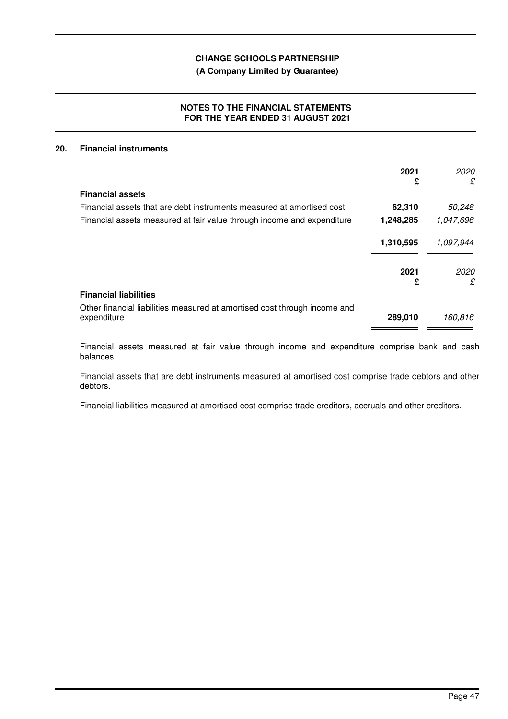# **(A Company Limited by Guarantee)**

# **NOTES TO THE FINANCIAL STATEMENTS FOR THE YEAR ENDED 31 AUGUST 2021**

## **20. Financial instruments**

|                                                                                          | 2021<br>£ | 2020<br>£ |
|------------------------------------------------------------------------------------------|-----------|-----------|
| <b>Financial assets</b>                                                                  |           |           |
| Financial assets that are debt instruments measured at amortised cost                    | 62,310    | 50,248    |
| Financial assets measured at fair value through income and expenditure                   | 1,248,285 | 1,047,696 |
|                                                                                          | 1,310,595 | 1,097,944 |
|                                                                                          | 2021<br>£ | 2020<br>£ |
| <b>Financial liabilities</b>                                                             |           |           |
| Other financial liabilities measured at amortised cost through income and<br>expenditure | 289,010   | 160,816   |

Financial assets measured at fair value through income and expenditure comprise bank and cash balances.

Financial assets that are debt instruments measured at amortised cost comprise trade debtors and other debtors.

Financial liabilities measured at amortised cost comprise trade creditors, accruals and other creditors.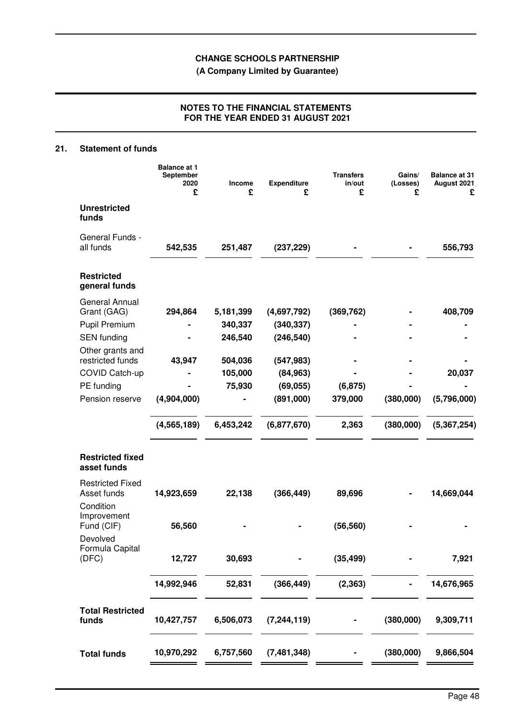**(A Company Limited by Guarantee)**

# **NOTES TO THE FINANCIAL STATEMENTS FOR THE YEAR ENDED 31 AUGUST 2021**

# **21. Statement of funds**

|                                                     | <b>Balance at 1</b><br>September<br>2020<br>£ | Income<br>£ | Expenditure<br>£ | <b>Transfers</b><br>in/out<br>£ | Gains/<br>(Losses)<br>£ | <b>Balance at 31</b><br>August 2021<br>£ |
|-----------------------------------------------------|-----------------------------------------------|-------------|------------------|---------------------------------|-------------------------|------------------------------------------|
| <b>Unrestricted</b><br>funds                        |                                               |             |                  |                                 |                         |                                          |
| General Funds -<br>all funds                        | 542,535                                       | 251,487     | (237, 229)       |                                 |                         | 556,793                                  |
| <b>Restricted</b><br>general funds                  |                                               |             |                  |                                 |                         |                                          |
| General Annual<br>Grant (GAG)                       | 294,864                                       | 5,181,399   | (4,697,792)      | (369, 762)                      |                         | 408,709                                  |
| <b>Pupil Premium</b>                                |                                               | 340,337     | (340, 337)       |                                 |                         |                                          |
| <b>SEN</b> funding<br>Other grants and              |                                               | 246,540     | (246, 540)       |                                 |                         |                                          |
| restricted funds                                    | 43,947                                        | 504,036     | (547, 983)       |                                 |                         |                                          |
| COVID Catch-up                                      |                                               | 105,000     | (84, 963)        |                                 |                         | 20,037                                   |
| PE funding                                          |                                               | 75,930      | (69, 055)        | (6, 875)                        |                         |                                          |
| Pension reserve                                     | (4,904,000)                                   |             | (891,000)        | 379,000                         | (380,000)               | (5,796,000)                              |
|                                                     | (4, 565, 189)                                 | 6,453,242   | (6,877,670)      | 2,363                           | (380,000)               | (5, 367, 254)                            |
| <b>Restricted fixed</b><br>asset funds              |                                               |             |                  |                                 |                         |                                          |
| <b>Restricted Fixed</b><br>Asset funds<br>Condition | 14,923,659                                    | 22,138      | (366, 449)       | 89,696                          |                         | 14,669,044                               |
| Improvement<br>Fund (CIF)                           | 56,560                                        |             |                  | (56, 560)                       |                         |                                          |
| Devolved<br>Formula Capital<br>(DFC)                | 12,727                                        | 30,693      |                  | (35, 499)                       |                         | 7,921                                    |
|                                                     | 14,992,946                                    | 52,831      | (366, 449)       | (2, 363)                        |                         | 14,676,965                               |
| <b>Total Restricted</b><br>funds                    | 10,427,757                                    | 6,506,073   | (7, 244, 119)    |                                 | (380,000)               | 9,309,711                                |
| <b>Total funds</b>                                  | 10,970,292                                    | 6,757,560   | (7,481,348)      |                                 | (380,000)               | 9,866,504                                |
|                                                     |                                               |             |                  |                                 |                         |                                          |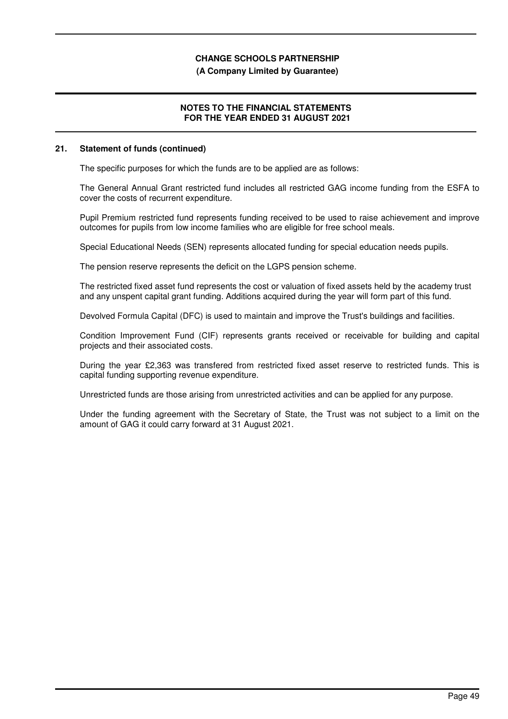#### **(A Company Limited by Guarantee)**

## **NOTES TO THE FINANCIAL STATEMENTS FOR THE YEAR ENDED 31 AUGUST 2021**

#### **21. Statement of funds (continued)**

The specific purposes for which the funds are to be applied are as follows:

The General Annual Grant restricted fund includes all restricted GAG income funding from the ESFA to cover the costs of recurrent expenditure.

Pupil Premium restricted fund represents funding received to be used to raise achievement and improve outcomes for pupils from low income families who are eligible for free school meals.

Special Educational Needs (SEN) represents allocated funding for special education needs pupils.

The pension reserve represents the deficit on the LGPS pension scheme.

The restricted fixed asset fund represents the cost or valuation of fixed assets held by the academy trust and any unspent capital grant funding. Additions acquired during the year will form part of this fund.

Devolved Formula Capital (DFC) is used to maintain and improve the Trust's buildings and facilities.

Condition Improvement Fund (CIF) represents grants received or receivable for building and capital projects and their associated costs.

During the year £2,363 was transfered from restricted fixed asset reserve to restricted funds. This is capital funding supporting revenue expenditure.

Unrestricted funds are those arising from unrestricted activities and can be applied for any purpose.

Under the funding agreement with the Secretary of State, the Trust was not subject to a limit on the amount of GAG it could carry forward at 31 August 2021.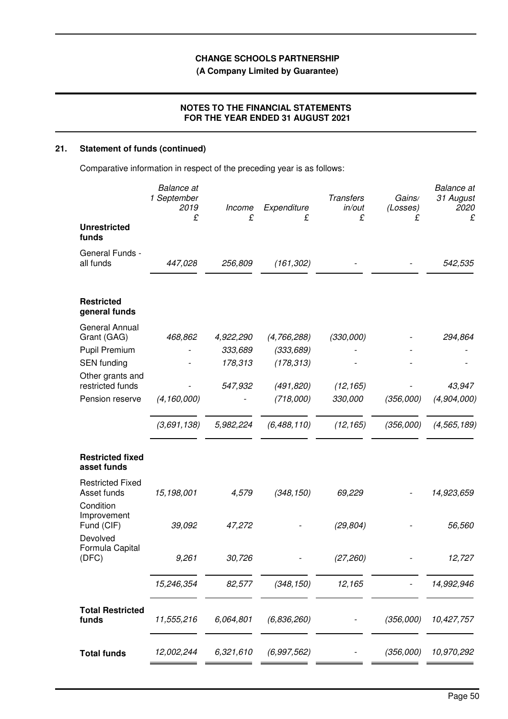**(A Company Limited by Guarantee)**

# **NOTES TO THE FINANCIAL STATEMENTS FOR THE YEAR ENDED 31 AUGUST 2021**

# **21. Statement of funds (continued)**

Comparative information in respect of the preceding year is as follows:

|                                                                | <b>Balance</b> at<br>1 September<br>2019<br>£ | Income<br>£        | Expenditure<br>£         | <b>Transfers</b><br>in/out<br>£ | Gains/<br>(Losses)<br>£ | <b>Balance</b> at<br>31 August<br>2020<br>£ |
|----------------------------------------------------------------|-----------------------------------------------|--------------------|--------------------------|---------------------------------|-------------------------|---------------------------------------------|
| <b>Unrestricted</b><br>funds                                   |                                               |                    |                          |                                 |                         |                                             |
| General Funds -<br>all funds                                   | 447,028                                       | 256,809            | (161, 302)               |                                 |                         | 542,535                                     |
| <b>Restricted</b><br>general funds                             |                                               |                    |                          |                                 |                         |                                             |
| <b>General Annual</b><br>Grant (GAG)                           | 468,862                                       | 4,922,290          | (4,766,288)              | (330,000)                       |                         | 294,864                                     |
| <b>Pupil Premium</b><br><b>SEN</b> funding<br>Other grants and |                                               | 333,689<br>178,313 | (333, 689)<br>(178, 313) |                                 |                         |                                             |
| restricted funds<br>Pension reserve                            | (4, 160, 000)                                 | 547,932            | (491, 820)<br>(718,000)  | (12, 165)<br>330,000            | (356,000)               | 43,947<br>(4,904,000)                       |
|                                                                | (3,691,138)                                   | 5,982,224          | (6,488,110)              | (12, 165)                       | (356,000)               | (4, 565, 189)                               |
| <b>Restricted fixed</b><br>asset funds                         |                                               |                    |                          |                                 |                         |                                             |
| <b>Restricted Fixed</b><br>Asset funds                         | 15,198,001                                    | 4,579              | (348, 150)               | 69,229                          |                         | 14,923,659                                  |
| Condition<br>Improvement<br>Fund (CIF)<br>Devolved             | 39,092                                        | 47,272             |                          | (29, 804)                       |                         | 56,560                                      |
| Formula Capital<br>(DFC)                                       | 9,261                                         | 30,726             |                          | (27, 260)                       |                         | 12,727                                      |
|                                                                | 15,246,354                                    | 82,577             | (348, 150)               | 12,165                          |                         | 14,992,946                                  |
| <b>Total Restricted</b><br>funds                               | 11,555,216                                    | 6,064,801          | (6,836,260)              |                                 | (356,000)               | 10,427,757                                  |
| <b>Total funds</b>                                             | 12,002,244                                    | 6,321,610          | (6,997,562)              |                                 | (356,000)               | 10,970,292                                  |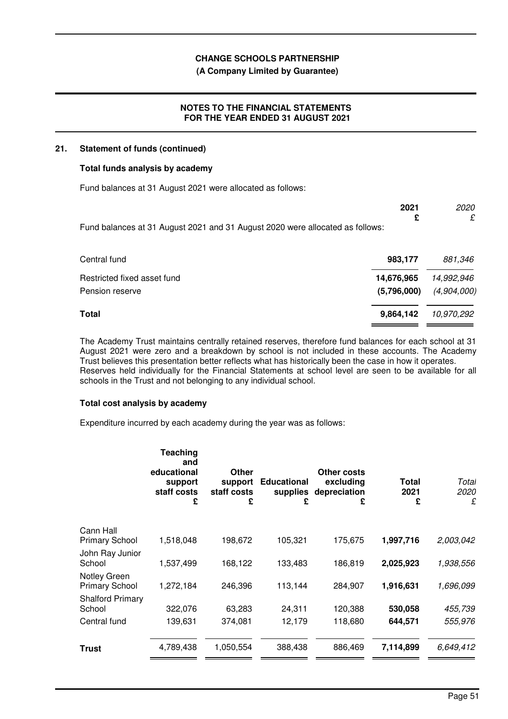## **(A Company Limited by Guarantee)**

## **NOTES TO THE FINANCIAL STATEMENTS FOR THE YEAR ENDED 31 AUGUST 2021**

#### **21. Statement of funds (continued)**

## **Total funds analysis by academy**

Fund balances at 31 August 2021 were allocated as follows:

|                                                                               | 2021<br>£   | 2020<br>£   |
|-------------------------------------------------------------------------------|-------------|-------------|
| Fund balances at 31 August 2021 and 31 August 2020 were allocated as follows: |             |             |
|                                                                               |             |             |
| Central fund                                                                  | 983,177     | 881,346     |
| Restricted fixed asset fund                                                   | 14,676,965  | 14,992,946  |
| Pension reserve                                                               | (5,796,000) | (4,904,000) |
| Total                                                                         | 9,864,142   | 10,970,292  |

The Academy Trust maintains centrally retained reserves, therefore fund balances for each school at 31 August 2021 were zero and a breakdown by school is not included in these accounts. The Academy Trust believes this presentation better reflects what has historically been the case in how it operates. Reserves held individually for the Financial Statements at school level are seen to be available for all schools in the Trust and not belonging to any individual school.

# **Total cost analysis by academy**

Expenditure incurred by each academy during the year was as follows:

|                                       | Teaching<br>and<br>educational<br>support<br>staff costs<br>£ | Other<br>support<br>staff costs<br>£ | <b>Educational</b><br>supplies<br>£ | Other costs<br>excluding<br>depreciation<br>£ | Total<br>2021<br>£ | Total<br><i>2020</i><br>£ |
|---------------------------------------|---------------------------------------------------------------|--------------------------------------|-------------------------------------|-----------------------------------------------|--------------------|---------------------------|
| Cann Hall                             |                                                               |                                      |                                     |                                               |                    |                           |
| <b>Primary School</b>                 | 1,518,048                                                     | 198,672                              | 105,321                             | 175,675                                       | 1,997,716          | 2,003,042                 |
| John Ray Junior<br>School             | 1,537,499                                                     | 168,122                              | 133,483                             | 186,819                                       | 2,025,923          | 1,938,556                 |
| Notley Green<br><b>Primary School</b> | 1,272,184                                                     | 246,396                              | 113,144                             | 284,907                                       | 1,916,631          | 1,696,099                 |
| <b>Shalford Primary</b>               |                                                               |                                      |                                     |                                               |                    |                           |
| School                                | 322,076                                                       | 63,283                               | 24,311                              | 120,388                                       | 530,058            | 455,739                   |
| Central fund                          | 139,631                                                       | 374,081                              | 12,179                              | 118,680                                       | 644,571            | 555,976                   |
| Trust                                 | 4,789,438                                                     | 1,050,554                            | 388,438                             | 886,469                                       | 7,114,899          | 6,649,412                 |
|                                       |                                                               |                                      |                                     |                                               |                    |                           |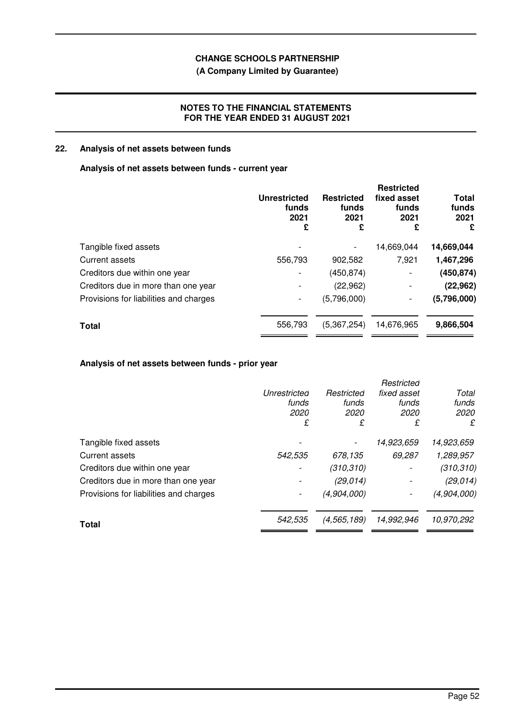# **(A Company Limited by Guarantee)**

## **NOTES TO THE FINANCIAL STATEMENTS FOR THE YEAR ENDED 31 AUGUST 2021**

# **22. Analysis of net assets between funds**

## **Analysis of net assets between funds - current year**

|                                        | <b>Unrestricted</b><br>funds<br>2021<br>£ | <b>Restricted</b><br>funds<br>2021<br>£ | <b>Restricted</b><br>fixed asset<br>funds<br>2021<br>£ | Total<br>funds<br>2021<br>£ |
|----------------------------------------|-------------------------------------------|-----------------------------------------|--------------------------------------------------------|-----------------------------|
| Tangible fixed assets                  |                                           |                                         | 14,669,044                                             | 14,669,044                  |
| Current assets                         | 556,793                                   | 902,582                                 | 7,921                                                  | 1,467,296                   |
| Creditors due within one year          |                                           | (450, 874)                              | $\overline{\phantom{a}}$                               | (450, 874)                  |
| Creditors due in more than one year    |                                           | (22, 962)                               | $\overline{\phantom{a}}$                               | (22, 962)                   |
| Provisions for liabilities and charges |                                           | (5,796,000)                             | -                                                      | (5,796,000)                 |
| <b>Total</b>                           | 556,793                                   | (5,367,254)                             | 14,676,965                                             | 9,866,504                   |
|                                        |                                           |                                         |                                                        |                             |

# **Analysis of net assets between funds - prior year**

|                                        |              |               | Restricted  |             |
|----------------------------------------|--------------|---------------|-------------|-------------|
|                                        | Unrestricted | Restricted    | fixed asset | Total       |
|                                        | funds        | funds         | funds       | funds       |
|                                        | 2020         | 2020          | 2020        | 2020        |
|                                        | £            | £             | £           | £           |
| Tangible fixed assets                  |              |               | 14,923,659  | 14,923,659  |
| Current assets                         | 542,535      | 678,135       | 69,287      | 1,289,957   |
| Creditors due within one year          |              | (310, 310)    |             | (310, 310)  |
| Creditors due in more than one year    |              | (29, 014)     |             | (29, 014)   |
| Provisions for liabilities and charges |              | (4,904,000)   |             | (4,904,000) |
| Total                                  | 542,535      | (4, 565, 189) | 14,992,946  | 10,970,292  |
|                                        |              |               |             |             |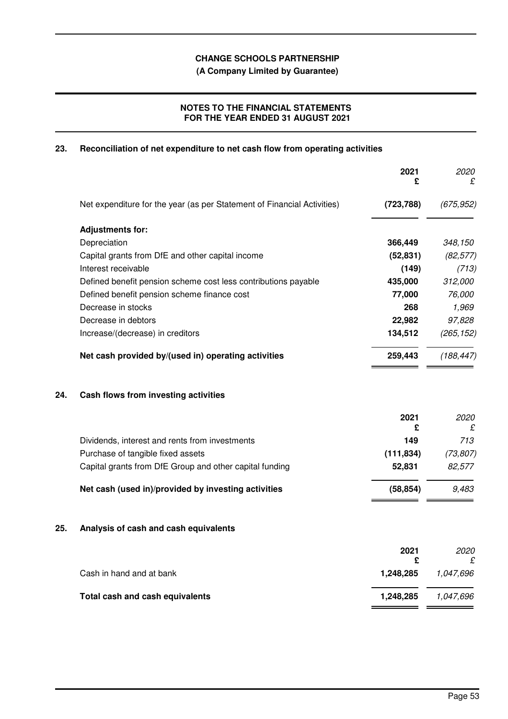**(A Company Limited by Guarantee)**

# **NOTES TO THE FINANCIAL STATEMENTS FOR THE YEAR ENDED 31 AUGUST 2021**

# **23. Reconciliation of net expenditure to net cash flow from operating activities**

|     |                                                                         | 2021<br>£  | 2020<br>£  |
|-----|-------------------------------------------------------------------------|------------|------------|
|     | Net expenditure for the year (as per Statement of Financial Activities) | (723, 788) | (675, 952) |
|     | <b>Adjustments for:</b>                                                 |            |            |
|     | Depreciation                                                            | 366,449    | 348,150    |
|     | Capital grants from DfE and other capital income                        | (52, 831)  | (82, 577)  |
|     | Interest receivable                                                     | (149)      | (713)      |
|     | Defined benefit pension scheme cost less contributions payable          | 435,000    | 312,000    |
|     | Defined benefit pension scheme finance cost                             | 77,000     | 76,000     |
|     | Decrease in stocks                                                      | 268        | 1,969      |
|     | Decrease in debtors                                                     | 22,982     | 97,828     |
|     | Increase/(decrease) in creditors                                        | 134,512    | (265, 152) |
|     | Net cash provided by/(used in) operating activities                     | 259,443    | (188, 447) |
| 24. | Cash flows from investing activities                                    |            |            |
|     |                                                                         | 2021<br>£  | 2020<br>£  |
|     | Dividends, interest and rents from investments                          | 149        | 713        |
|     | Purchase of tangible fixed assets                                       | (111, 834) | (73, 807)  |
|     | Capital grants from DfE Group and other capital funding                 | 52,831     | 82,577     |
|     | Net cash (used in)/provided by investing activities                     | (58, 854)  | 9,483      |
| 25. | Analysis of cash and cash equivalents                                   |            |            |
|     |                                                                         | 2021<br>£  | 2020<br>£  |
|     | Cash in hand and at bank                                                | 1,248,285  | 1,047,696  |
|     | Total cash and cash equivalents                                         | 1,248,285  | 1,047,696  |
|     |                                                                         |            |            |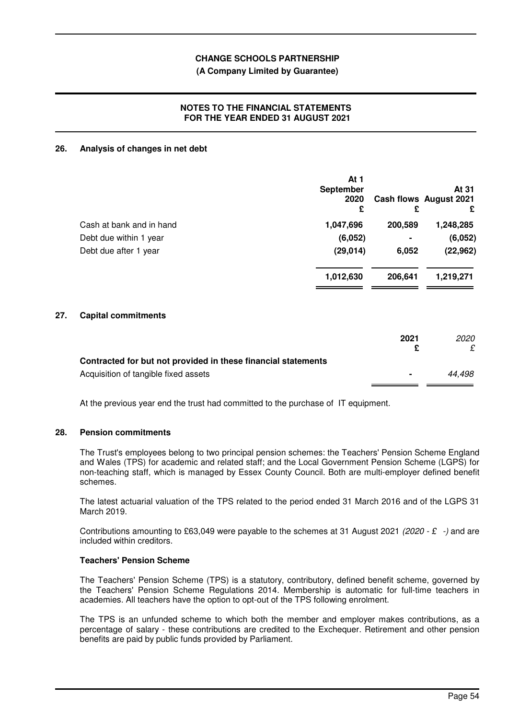### **(A Company Limited by Guarantee)**

## **NOTES TO THE FINANCIAL STATEMENTS FOR THE YEAR ENDED 31 AUGUST 2021**

#### **26. Analysis of changes in net debt**

|                          | At 1<br><b>September</b><br>2020<br>£ | £              | At 31<br>Cash flows August 2021<br>£ |
|--------------------------|---------------------------------------|----------------|--------------------------------------|
| Cash at bank and in hand | 1,047,696                             | 200,589        | 1,248,285                            |
| Debt due within 1 year   | (6,052)                               | $\blacksquare$ | (6,052)                              |
| Debt due after 1 year    | (29, 014)                             | 6,052          | (22, 962)                            |
|                          | 1,012,630                             | 206,641        | 1,219,271                            |
| Conital commitments      |                                       |                |                                      |

## **27. Capital commitments**

|                                                               | 2021           | <i>2020</i> |
|---------------------------------------------------------------|----------------|-------------|
| Contracted for but not provided in these financial statements |                |             |
| Acquisition of tangible fixed assets                          | $\blacksquare$ | 44.498      |

At the previous year end the trust had committed to the purchase of IT equipment.

#### **28. Pension commitments**

The Trust's employees belong to two principal pension schemes: the Teachers' Pension Scheme England and Wales (TPS) for academic and related staff; and the Local Government Pension Scheme (LGPS) for non-teaching staff, which is managed by Essex County Council. Both are multi-employer defined benefit schemes.

The latest actuarial valuation of the TPS related to the period ended 31 March 2016 and of the LGPS 31 March 2019.

Contributions amounting to £63,049 were payable to the schemes at 31 August 2021 (2020 - £ -) and are included within creditors.

## **Teachers' Pension Scheme**

The Teachers' Pension Scheme (TPS) is a statutory, contributory, defined benefit scheme, governed by the Teachers' Pension Scheme Regulations 2014. Membership is automatic for full-time teachers in academies. All teachers have the option to opt-out of the TPS following enrolment.

The TPS is an unfunded scheme to which both the member and employer makes contributions, as a percentage of salary - these contributions are credited to the Exchequer. Retirement and other pension benefits are paid by public funds provided by Parliament.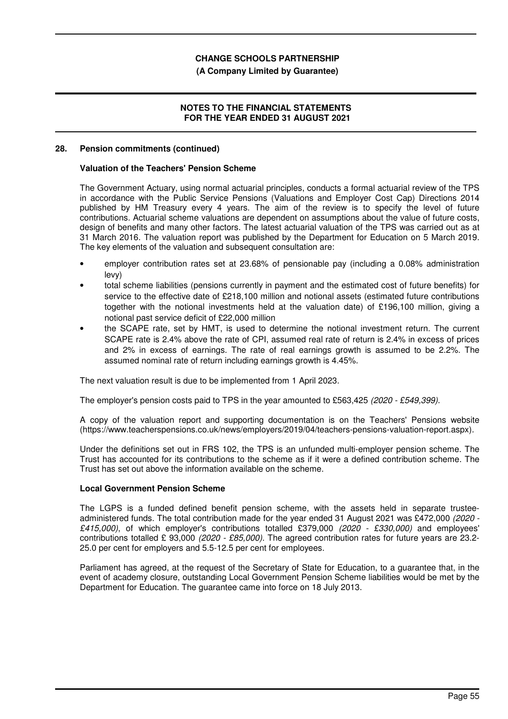### **(A Company Limited by Guarantee)**

## **NOTES TO THE FINANCIAL STATEMENTS FOR THE YEAR ENDED 31 AUGUST 2021**

#### **28. Pension commitments (continued)**

#### **Valuation of the Teachers' Pension Scheme**

The Government Actuary, using normal actuarial principles, conducts a formal actuarial review of the TPS in accordance with the Public Service Pensions (Valuations and Employer Cost Cap) Directions 2014 published by HM Treasury every 4 years. The aim of the review is to specify the level of future contributions. Actuarial scheme valuations are dependent on assumptions about the value of future costs, design of benefits and many other factors. The latest actuarial valuation of the TPS was carried out as at 31 March 2016. The valuation report was published by the Department for Education on 5 March 2019. The key elements of the valuation and subsequent consultation are:

- employer contribution rates set at 23.68% of pensionable pay (including a 0.08% administration levy)
- total scheme liabilities (pensions currently in payment and the estimated cost of future benefits) for service to the effective date of £218,100 million and notional assets (estimated future contributions together with the notional investments held at the valuation date) of £196,100 million, giving a notional past service deficit of £22,000 million
- the SCAPE rate, set by HMT, is used to determine the notional investment return. The current SCAPE rate is 2.4% above the rate of CPI, assumed real rate of return is 2.4% in excess of prices and 2% in excess of earnings. The rate of real earnings growth is assumed to be 2.2%. The assumed nominal rate of return including earnings growth is 4.45%.

The next valuation result is due to be implemented from 1 April 2023.

The employer's pension costs paid to TPS in the year amounted to £563,425 (2020 - £549,399).

A copy of the valuation report and supporting documentation is on the Teachers' Pensions website (https://www.teacherspensions.co.uk/news/employers/2019/04/teachers-pensions-valuation-report.aspx).

Under the definitions set out in FRS 102, the TPS is an unfunded multi-employer pension scheme. The Trust has accounted for its contributions to the scheme as if it were a defined contribution scheme. The Trust has set out above the information available on the scheme.

## **Local Government Pension Scheme**

The LGPS is a funded defined benefit pension scheme, with the assets held in separate trusteeadministered funds. The total contribution made for the year ended 31 August 2021 was £472,000 (2020 - £415,000), of which employer's contributions totalled £379,000 (2020 - £330,000) and employees' contributions totalled £ 93,000 (2020 - £85,000). The agreed contribution rates for future years are 23.2-25.0 per cent for employers and 5.5-12.5 per cent for employees.

Parliament has agreed, at the request of the Secretary of State for Education, to a guarantee that, in the event of academy closure, outstanding Local Government Pension Scheme liabilities would be met by the Department for Education. The guarantee came into force on 18 July 2013.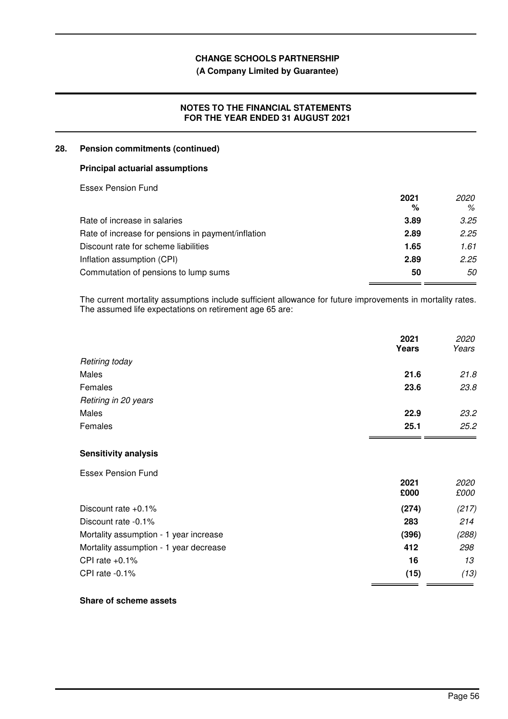# **(A Company Limited by Guarantee)**

# **NOTES TO THE FINANCIAL STATEMENTS FOR THE YEAR ENDED 31 AUGUST 2021**

## **28. Pension commitments (continued)**

### **Principal actuarial assumptions**

Essex Pension Fund

|                                                    | 2021 | 2020 |
|----------------------------------------------------|------|------|
|                                                    | %    | %    |
| Rate of increase in salaries                       | 3.89 | 3.25 |
| Rate of increase for pensions in payment/inflation | 2.89 | 2.25 |
| Discount rate for scheme liabilities               | 1.65 | 1.61 |
| Inflation assumption (CPI)                         | 2.89 | 2.25 |
| Commutation of pensions to lump sums               | 50   | 50   |

The current mortality assumptions include sufficient allowance for future improvements in mortality rates. The assumed life expectations on retirement age 65 are:

|                      | 2021<br>Years | 2020<br>Years |
|----------------------|---------------|---------------|
| Retiring today       |               |               |
| Males                | 21.6          | 21.8          |
| Females              | 23.6          | 23.8          |
| Retiring in 20 years |               |               |
| Males                | 22.9          | 23.2          |
| Females              | 25.1          | 25.2          |

## **Sensitivity analysis**

Essex Pension Fund

|                                        | 2021<br>£000 | <i>2020</i><br>£000 |
|----------------------------------------|--------------|---------------------|
| Discount rate $+0.1\%$                 | (274)        | (217)               |
| Discount rate -0.1%                    | 283          | 214                 |
| Mortality assumption - 1 year increase | (396)        | (288)               |
| Mortality assumption - 1 year decrease | 412          | 298                 |
| CPI rate $+0.1\%$                      | 16           | 13                  |
| CPI rate $-0.1\%$                      | (15)         | (13)                |

## **Share of scheme assets**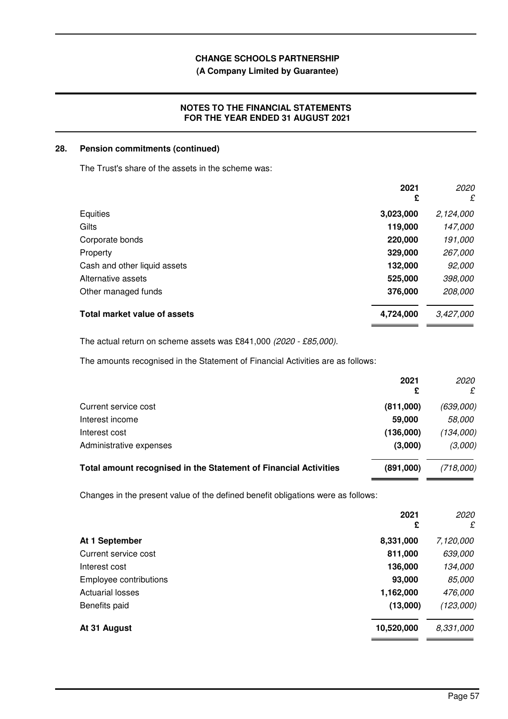# **(A Company Limited by Guarantee)**

# **NOTES TO THE FINANCIAL STATEMENTS FOR THE YEAR ENDED 31 AUGUST 2021**

### **28. Pension commitments (continued)**

The Trust's share of the assets in the scheme was:

|                              | 2021<br>£ | 2020<br>£ |
|------------------------------|-----------|-----------|
| Equities                     | 3,023,000 | 2,124,000 |
| Gilts                        | 119,000   | 147,000   |
| Corporate bonds              | 220,000   | 191,000   |
| Property                     | 329,000   | 267,000   |
| Cash and other liquid assets | 132,000   | 92,000    |
| Alternative assets           | 525,000   | 398,000   |
| Other managed funds          | 376,000   | 208,000   |
| Total market value of assets | 4,724,000 | 3,427,000 |

The actual return on scheme assets was £841,000 (2020 - £85,000).

The amounts recognised in the Statement of Financial Activities are as follows:

|                                                                  | 2021      | <i>2020</i><br>£ |
|------------------------------------------------------------------|-----------|------------------|
| Current service cost                                             | (811,000) | (639,000)        |
| Interest income                                                  | 59,000    | <i>58,000</i>    |
| Interest cost                                                    | (136,000) | (134,000)        |
| Administrative expenses                                          | (3,000)   | (3,000)          |
| Total amount recognised in the Statement of Financial Activities | (891,000) | (718,000)        |

Changes in the present value of the defined benefit obligations were as follows:

|                         | 2021<br>£  | 2020<br>£ |
|-------------------------|------------|-----------|
| At 1 September          | 8,331,000  | 7,120,000 |
| Current service cost    | 811,000    | 639,000   |
| Interest cost           | 136,000    | 134,000   |
| Employee contributions  | 93,000     | 85,000    |
| <b>Actuarial losses</b> | 1,162,000  | 476,000   |
| Benefits paid           | (13,000)   | (123,000) |
| At 31 August            | 10,520,000 | 8,331,000 |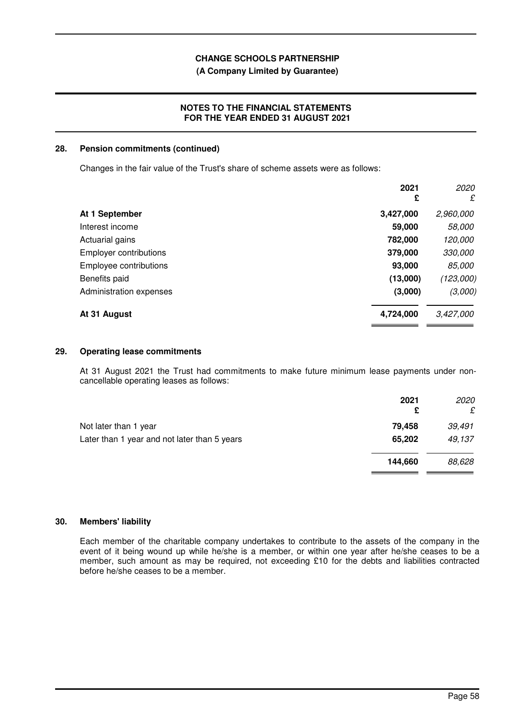## **(A Company Limited by Guarantee)**

## **NOTES TO THE FINANCIAL STATEMENTS FOR THE YEAR ENDED 31 AUGUST 2021**

#### **28. Pension commitments (continued)**

Changes in the fair value of the Trust's share of scheme assets were as follows:

|                               | 2021<br>£ | 2020<br>£ |
|-------------------------------|-----------|-----------|
| At 1 September                | 3,427,000 | 2,960,000 |
| Interest income               | 59,000    | 58,000    |
| Actuarial gains               | 782,000   | 120,000   |
| <b>Employer contributions</b> | 379,000   | 330,000   |
| Employee contributions        | 93,000    | 85,000    |
| Benefits paid                 | (13,000)  | (123,000) |
| Administration expenses       | (3,000)   | (3,000)   |
| At 31 August                  | 4,724,000 | 3,427,000 |

#### **29. Operating lease commitments**

At 31 August 2021 the Trust had commitments to make future minimum lease payments under noncancellable operating leases as follows:

|                                              | 2021<br>£ | 2020<br>£ |
|----------------------------------------------|-----------|-----------|
| Not later than 1 year                        | 79.458    | 39,491    |
| Later than 1 year and not later than 5 years | 65,202    | 49,137    |
|                                              | 144,660   | 88,628    |

#### **30. Members' liability**

Each member of the charitable company undertakes to contribute to the assets of the company in the event of it being wound up while he/she is a member, or within one year after he/she ceases to be a member, such amount as may be required, not exceeding £10 for the debts and liabilities contracted before he/she ceases to be a member.